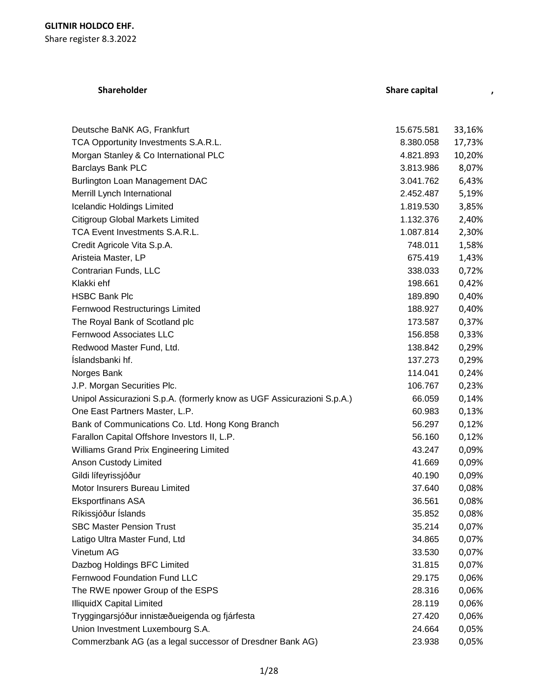# **Shareholder Share capital ,**

| Deutsche BaNK AG, Frankfurt                                             | 15.675.581 | 33,16% |
|-------------------------------------------------------------------------|------------|--------|
| TCA Opportunity Investments S.A.R.L.                                    | 8.380.058  | 17,73% |
| Morgan Stanley & Co International PLC                                   | 4.821.893  | 10,20% |
| <b>Barclays Bank PLC</b>                                                | 3.813.986  | 8,07%  |
| Burlington Loan Management DAC                                          | 3.041.762  | 6,43%  |
| Merrill Lynch International                                             | 2.452.487  | 5,19%  |
| Icelandic Holdings Limited                                              | 1.819.530  | 3,85%  |
| <b>Citigroup Global Markets Limited</b>                                 | 1.132.376  | 2,40%  |
| TCA Event Investments S.A.R.L.                                          | 1.087.814  | 2,30%  |
| Credit Agricole Vita S.p.A.                                             | 748.011    | 1,58%  |
| Aristeia Master, LP                                                     | 675.419    | 1,43%  |
| Contrarian Funds, LLC                                                   | 338.033    | 0,72%  |
| Klakki ehf                                                              | 198.661    | 0,42%  |
| <b>HSBC Bank Plc</b>                                                    | 189.890    | 0,40%  |
| Fernwood Restructurings Limited                                         | 188.927    | 0,40%  |
| The Royal Bank of Scotland plc                                          | 173.587    | 0,37%  |
| Fernwood Associates LLC                                                 | 156.858    | 0,33%  |
| Redwood Master Fund, Ltd.                                               | 138.842    | 0,29%  |
| Íslandsbanki hf.                                                        | 137.273    | 0,29%  |
| Norges Bank                                                             | 114.041    | 0,24%  |
| J.P. Morgan Securities Plc.                                             | 106.767    | 0,23%  |
| Unipol Assicurazioni S.p.A. (formerly know as UGF Assicurazioni S.p.A.) | 66.059     | 0,14%  |
| One East Partners Master, L.P.                                          | 60.983     | 0,13%  |
| Bank of Communications Co. Ltd. Hong Kong Branch                        | 56.297     | 0,12%  |
| Farallon Capital Offshore Investors II, L.P.                            | 56.160     | 0,12%  |
| Williams Grand Prix Engineering Limited                                 | 43.247     | 0,09%  |
| Anson Custody Limited                                                   | 41.669     | 0,09%  |
| Gildi lífeyrissjóður                                                    | 40.190     | 0,09%  |
| Motor Insurers Bureau Limited                                           | 37.640     | 0,08%  |
| <b>Eksportfinans ASA</b>                                                | 36.561     | 0,08%  |
| Ríkissjóður Íslands                                                     | 35.852     | 0,08%  |
| <b>SBC Master Pension Trust</b>                                         | 35.214     | 0,07%  |
| Latigo Ultra Master Fund, Ltd                                           | 34.865     | 0,07%  |
| Vinetum AG                                                              | 33.530     | 0,07%  |
| Dazbog Holdings BFC Limited                                             | 31.815     | 0,07%  |
| <b>Fernwood Foundation Fund LLC</b>                                     | 29.175     | 0,06%  |
| The RWE npower Group of the ESPS                                        | 28.316     | 0,06%  |
| <b>IlliquidX Capital Limited</b>                                        | 28.119     | 0,06%  |
| Tryggingarsjóður innistæðueigenda og fjárfesta                          | 27.420     | 0,06%  |
| Union Investment Luxembourg S.A.                                        | 24.664     | 0,05%  |
| Commerzbank AG (as a legal successor of Dresdner Bank AG)               | 23.938     | 0,05%  |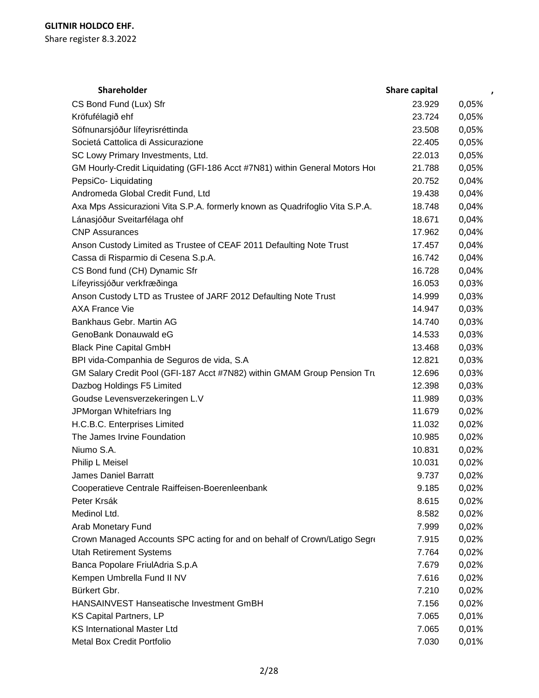| Shareholder                                                                  | <b>Share capital</b> | $\mathbf{r}$ |
|------------------------------------------------------------------------------|----------------------|--------------|
| CS Bond Fund (Lux) Sfr                                                       | 23.929               | 0,05%        |
| Kröfufélagið ehf                                                             | 23.724               | 0,05%        |
| Söfnunarsjóður lífeyrisréttinda                                              | 23.508               | 0,05%        |
| Societá Cattolica di Assicurazione                                           | 22.405               | 0,05%        |
| SC Lowy Primary Investments, Ltd.                                            | 22.013               | 0,05%        |
| GM Hourly-Credit Liquidating (GFI-186 Acct #7N81) within General Motors Hor  | 21.788               | 0,05%        |
| PepsiCo-Liquidating                                                          | 20.752               | 0,04%        |
| Andromeda Global Credit Fund, Ltd                                            | 19.438               | 0,04%        |
| Axa Mps Assicurazioni Vita S.P.A. formerly known as Quadrifoglio Vita S.P.A. | 18.748               | 0,04%        |
| Lánasjóður Sveitarfélaga ohf                                                 | 18.671               | 0,04%        |
| <b>CNP Assurances</b>                                                        | 17.962               | 0,04%        |
| Anson Custody Limited as Trustee of CEAF 2011 Defaulting Note Trust          | 17.457               | 0,04%        |
| Cassa di Risparmio di Cesena S.p.A.                                          | 16.742               | 0,04%        |
| CS Bond fund (CH) Dynamic Sfr                                                | 16.728               | 0,04%        |
| Lífeyrissjóður verkfræðinga                                                  | 16.053               | 0,03%        |
| Anson Custody LTD as Trustee of JARF 2012 Defaulting Note Trust              | 14.999               | 0,03%        |
| <b>AXA France Vie</b>                                                        | 14.947               | 0,03%        |
| Bankhaus Gebr. Martin AG                                                     | 14.740               | 0,03%        |
| GenoBank Donauwald eG                                                        | 14.533               | 0,03%        |
| <b>Black Pine Capital GmbH</b>                                               | 13.468               | 0,03%        |
| BPI vida-Companhia de Seguros de vida, S.A                                   | 12.821               | 0,03%        |
| GM Salary Credit Pool (GFI-187 Acct #7N82) within GMAM Group Pension Tru     | 12.696               | 0,03%        |
| Dazbog Holdings F5 Limited                                                   | 12.398               | 0,03%        |
| Goudse Levensverzekeringen L.V                                               | 11.989               | 0,03%        |
| JPMorgan Whitefriars Ing                                                     | 11.679               | 0,02%        |
| H.C.B.C. Enterprises Limited                                                 | 11.032               | 0,02%        |
| The James Irvine Foundation                                                  | 10.985               | 0,02%        |
| Niumo S.A.                                                                   | 10.831               | 0,02%        |
| Philip L Meisel                                                              | 10.031               | 0,02%        |
| <b>James Daniel Barratt</b>                                                  | 9.737                | 0,02%        |
| Cooperatieve Centrale Raiffeisen-Boerenleenbank                              | 9.185                | 0,02%        |
| Peter Krsák                                                                  | 8.615                | 0,02%        |
| Medinol Ltd.                                                                 | 8.582                | 0,02%        |
| Arab Monetary Fund                                                           | 7.999                | 0,02%        |
| Crown Managed Accounts SPC acting for and on behalf of Crown/Latigo Segre    | 7.915                | 0,02%        |
| <b>Utah Retirement Systems</b>                                               | 7.764                | 0,02%        |
| Banca Popolare FriulAdria S.p.A                                              | 7.679                | 0,02%        |
| Kempen Umbrella Fund II NV                                                   | 7.616                | 0,02%        |
| Bürkert Gbr.                                                                 | 7.210                | 0,02%        |
| HANSAINVEST Hanseatische Investment GmBH                                     | 7.156                | 0,02%        |
| KS Capital Partners, LP                                                      | 7.065                | 0,01%        |
| <b>KS International Master Ltd</b>                                           | 7.065                | 0,01%        |
| Metal Box Credit Portfolio                                                   | 7.030                | 0,01%        |
|                                                                              |                      |              |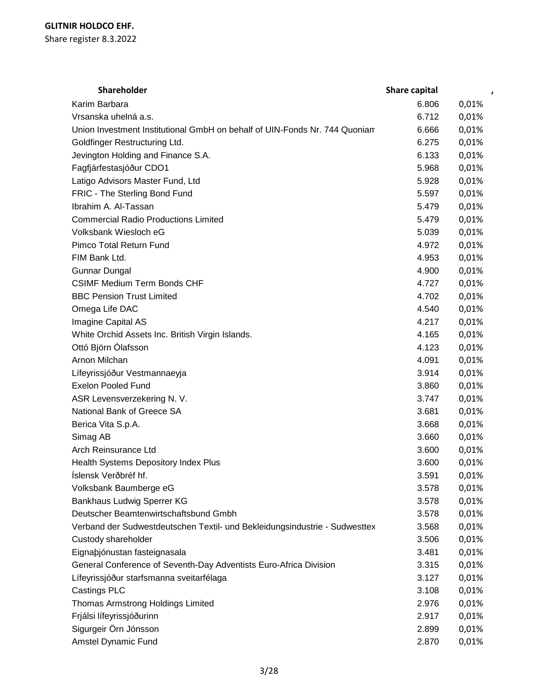| <b>Shareholder</b>                                                         | Share capital | $\pmb{\cdot}$ |
|----------------------------------------------------------------------------|---------------|---------------|
| Karim Barbara                                                              | 6.806         | 0,01%         |
| Vrsanska uhelná a.s.                                                       | 6.712         | 0,01%         |
| Union Investment Institutional GmbH on behalf of UIN-Fonds Nr. 744 Quoniam | 6.666         | 0,01%         |
| Goldfinger Restructuring Ltd.                                              | 6.275         | 0,01%         |
| Jevington Holding and Finance S.A.                                         | 6.133         | 0,01%         |
| Fagfjárfestasjóður CDO1                                                    | 5.968         | 0,01%         |
| Latigo Advisors Master Fund, Ltd                                           | 5.928         | 0,01%         |
| FRIC - The Sterling Bond Fund                                              | 5.597         | 0,01%         |
| Ibrahim A. Al-Tassan                                                       | 5.479         | 0,01%         |
| <b>Commercial Radio Productions Limited</b>                                | 5.479         | 0,01%         |
| Volksbank Wiesloch eG                                                      | 5.039         | 0,01%         |
| Pimco Total Return Fund                                                    | 4.972         | 0,01%         |
| FIM Bank Ltd.                                                              | 4.953         | 0,01%         |
| <b>Gunnar Dungal</b>                                                       | 4.900         | 0,01%         |
| <b>CSIMF Medium Term Bonds CHF</b>                                         | 4.727         | 0,01%         |
| <b>BBC Pension Trust Limited</b>                                           | 4.702         | 0,01%         |
| Omega Life DAC                                                             | 4.540         | 0,01%         |
| Imagine Capital AS                                                         | 4.217         | 0,01%         |
| White Orchid Assets Inc. British Virgin Islands.                           | 4.165         | 0,01%         |
| Ottó Björn Ólafsson                                                        | 4.123         | 0,01%         |
| Arnon Milchan                                                              | 4.091         | 0,01%         |
| Lífeyrissjóður Vestmannaeyja                                               | 3.914         | 0,01%         |
| <b>Exelon Pooled Fund</b>                                                  | 3.860         | 0,01%         |
| ASR Levensverzekering N. V.                                                | 3.747         | 0,01%         |
| National Bank of Greece SA                                                 | 3.681         | 0,01%         |
| Berica Vita S.p.A.                                                         | 3.668         | 0,01%         |
| Simag AB                                                                   | 3.660         | 0,01%         |
| Arch Reinsurance Ltd                                                       | 3.600         | 0,01%         |
| Health Systems Depository Index Plus                                       | 3.600         | 0,01%         |
| Íslensk Verðbréf hf.                                                       | 3.591         | 0,01%         |
| Volksbank Baumberge eG                                                     | 3.578         | 0,01%         |
| Bankhaus Ludwig Sperrer KG                                                 | 3.578         | 0,01%         |
| Deutscher Beamtenwirtschaftsbund Gmbh                                      | 3.578         | 0,01%         |
| Verband der Sudwestdeutschen Textil- und Bekleidungsindustrie - Sudwesttex | 3.568         | 0,01%         |
| Custody shareholder                                                        | 3.506         | 0,01%         |
| Eignabjónustan fasteignasala                                               | 3.481         | 0,01%         |
| General Conference of Seventh-Day Adventists Euro-Africa Division          | 3.315         | 0,01%         |
| Lífeyrissjóður starfsmanna sveitarfélaga                                   | 3.127         | 0,01%         |
| Castings PLC                                                               | 3.108         | 0,01%         |
| Thomas Armstrong Holdings Limited                                          | 2.976         | 0,01%         |
| Frjálsi lífeyrissjóðurinn                                                  | 2.917         | 0,01%         |
| Sigurgeir Örn Jónsson                                                      | 2.899         | 0,01%         |
|                                                                            |               | 0,01%         |
| Amstel Dynamic Fund                                                        | 2.870         |               |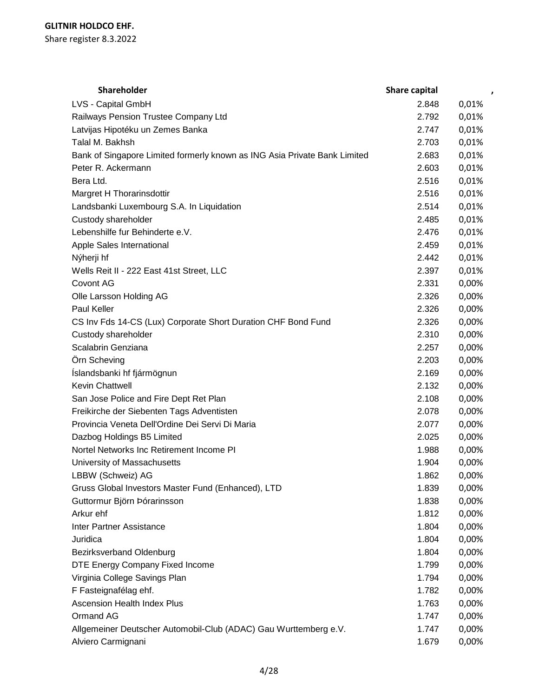| <b>Shareholder</b>                                                        | <b>Share capital</b> | $\pmb{\cdot}$ |
|---------------------------------------------------------------------------|----------------------|---------------|
| LVS - Capital GmbH                                                        | 2.848                | 0,01%         |
| Railways Pension Trustee Company Ltd                                      | 2.792                | 0,01%         |
| Latvijas Hipotéku un Zemes Banka                                          | 2.747                | 0,01%         |
| Talal M. Bakhsh                                                           | 2.703                | 0,01%         |
| Bank of Singapore Limited formerly known as ING Asia Private Bank Limited | 2.683                | 0,01%         |
| Peter R. Ackermann                                                        | 2.603                | 0,01%         |
| Bera Ltd.                                                                 | 2.516                | 0,01%         |
| Margret H Thorarinsdottir                                                 | 2.516                | 0,01%         |
| Landsbanki Luxembourg S.A. In Liquidation                                 | 2.514                | 0,01%         |
| Custody shareholder                                                       | 2.485                | 0,01%         |
| Lebenshilfe fur Behinderte e.V.                                           | 2.476                | 0,01%         |
| Apple Sales International                                                 | 2.459                | 0,01%         |
| Nýherji hf                                                                | 2.442                | 0,01%         |
| Wells Reit II - 222 East 41st Street, LLC                                 | 2.397                | 0,01%         |
| Covont AG                                                                 | 2.331                | 0,00%         |
| Olle Larsson Holding AG                                                   | 2.326                | 0,00%         |
| Paul Keller                                                               | 2.326                | 0,00%         |
| CS Inv Fds 14-CS (Lux) Corporate Short Duration CHF Bond Fund             | 2.326                | 0,00%         |
| Custody shareholder                                                       | 2.310                | 0,00%         |
| Scalabrin Genziana                                                        | 2.257                | 0,00%         |
| Örn Scheving                                                              | 2.203                | 0,00%         |
| Íslandsbanki hf fjármögnun                                                | 2.169                | 0,00%         |
| Kevin Chattwell                                                           | 2.132                | 0,00%         |
| San Jose Police and Fire Dept Ret Plan                                    | 2.108                | 0,00%         |
| Freikirche der Siebenten Tags Adventisten                                 | 2.078                | 0,00%         |
| Provincia Veneta Dell'Ordine Dei Servi Di Maria                           | 2.077                | 0,00%         |
| Dazbog Holdings B5 Limited                                                | 2.025                | 0,00%         |
| Nortel Networks Inc Retirement Income PI                                  | 1.988                | 0,00%         |
| University of Massachusetts                                               | 1.904                | 0,00%         |
| LBBW (Schweiz) AG                                                         | 1.862                | 0,00%         |
| Gruss Global Investors Master Fund (Enhanced), LTD                        | 1.839                | 0,00%         |
| Guttormur Björn Þórarinsson                                               | 1.838                | 0,00%         |
| Arkur ehf                                                                 | 1.812                | 0,00%         |
| <b>Inter Partner Assistance</b>                                           | 1.804                | 0,00%         |
| Juridica                                                                  | 1.804                | 0,00%         |
| <b>Bezirksverband Oldenburg</b>                                           | 1.804                | 0,00%         |
| DTE Energy Company Fixed Income                                           | 1.799                | 0,00%         |
| Virginia College Savings Plan                                             | 1.794                | 0,00%         |
| F Fasteignafélag ehf.                                                     | 1.782                | 0,00%         |
| <b>Ascension Health Index Plus</b>                                        | 1.763                | 0,00%         |
| Ormand AG                                                                 | 1.747                | 0,00%         |
| Allgemeiner Deutscher Automobil-Club (ADAC) Gau Wurttemberg e.V.          |                      |               |
|                                                                           | 1.747                | 0,00%         |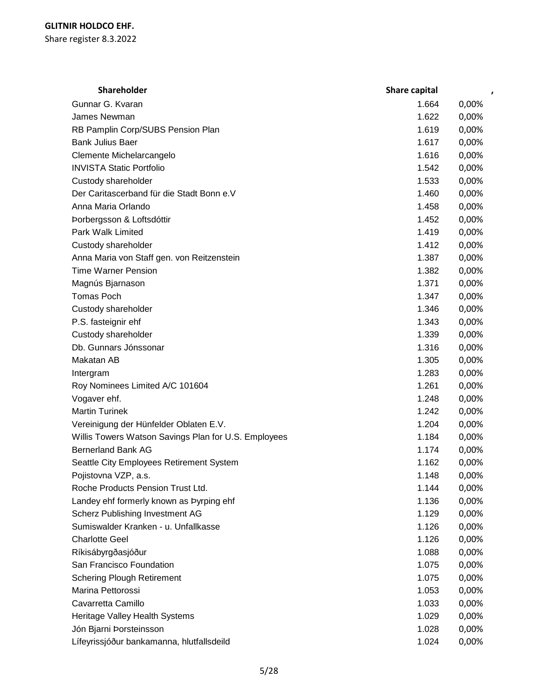| <b>Shareholder</b>                                   | <b>Share capital</b> |       |
|------------------------------------------------------|----------------------|-------|
| Gunnar G. Kvaran                                     | 1.664                | 0,00% |
| James Newman                                         | 1.622                | 0,00% |
| RB Pamplin Corp/SUBS Pension Plan                    | 1.619                | 0,00% |
| <b>Bank Julius Baer</b>                              | 1.617                | 0,00% |
| Clemente Michelarcangelo                             | 1.616                | 0,00% |
| <b>INVISTA Static Portfolio</b>                      | 1.542                | 0,00% |
| Custody shareholder                                  | 1.533                | 0,00% |
| Der Caritascerband für die Stadt Bonn e.V            | 1.460                | 0,00% |
| Anna Maria Orlando                                   | 1.458                | 0,00% |
| Þorbergsson & Loftsdóttir                            | 1.452                | 0,00% |
| Park Walk Limited                                    | 1.419                | 0,00% |
| Custody shareholder                                  | 1.412                | 0,00% |
| Anna Maria von Staff gen. von Reitzenstein           | 1.387                | 0,00% |
| <b>Time Warner Pension</b>                           | 1.382                | 0,00% |
| Magnús Bjarnason                                     | 1.371                | 0,00% |
| <b>Tomas Poch</b>                                    | 1.347                | 0,00% |
| Custody shareholder                                  | 1.346                | 0,00% |
| P.S. fasteignir ehf                                  | 1.343                | 0,00% |
| Custody shareholder                                  | 1.339                | 0,00% |
| Db. Gunnars Jónssonar                                | 1.316                | 0,00% |
| Makatan AB                                           | 1.305                | 0,00% |
| Intergram                                            | 1.283                | 0,00% |
| Roy Nominees Limited A/C 101604                      | 1.261                | 0,00% |
| Vogaver ehf.                                         | 1.248                | 0,00% |
| <b>Martin Turinek</b>                                | 1.242                | 0,00% |
| Vereinigung der Hünfelder Oblaten E.V.               | 1.204                | 0,00% |
| Willis Towers Watson Savings Plan for U.S. Employees | 1.184                | 0,00% |
| <b>Bernerland Bank AG</b>                            | 1.174                | 0,00% |
| Seattle City Employees Retirement System             | 1.162                | 0,00% |
| Pojistovna VZP, a.s.                                 | 1.148                | 0,00% |
| Roche Products Pension Trust Ltd.                    | 1.144                | 0,00% |
| Landey ehf formerly known as Þyrping ehf             | 1.136                | 0,00% |
| Scherz Publishing Investment AG                      | 1.129                | 0,00% |
| Sumiswalder Kranken - u. Unfallkasse                 | 1.126                | 0,00% |
| <b>Charlotte Geel</b>                                | 1.126                | 0,00% |
| Ríkisábyrgðasjóður                                   | 1.088                | 0,00% |
| San Francisco Foundation                             | 1.075                | 0,00% |
| <b>Schering Plough Retirement</b>                    | 1.075                | 0,00% |
| Marina Pettorossi                                    | 1.053                | 0,00% |
| Cavarretta Camillo                                   | 1.033                | 0,00% |
| Heritage Valley Health Systems                       | 1.029                | 0,00% |
| Jón Bjarni Þorsteinsson                              | 1.028                | 0,00% |
| Lífeyrissjóður bankamanna, hlutfallsdeild            | 1.024                | 0,00% |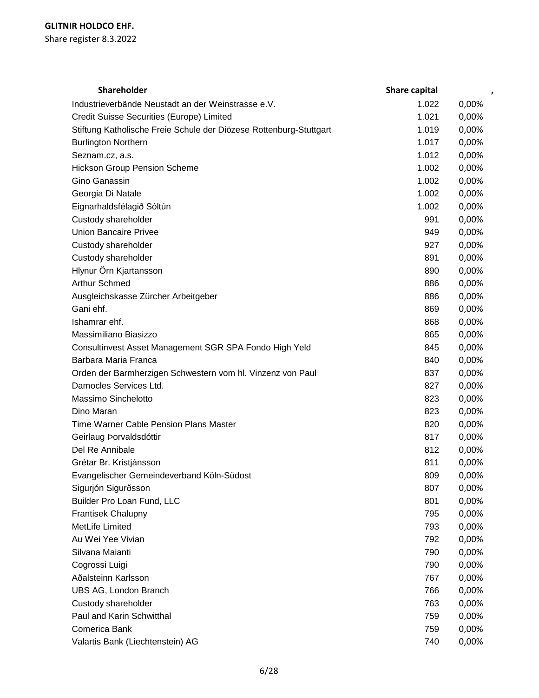| Shareholder                                                        | Share capital | $\pmb{\cdot}$ |
|--------------------------------------------------------------------|---------------|---------------|
| Industrieverbände Neustadt an der Weinstrasse e.V.                 | 1.022         | 0,00%         |
| Credit Suisse Securities (Europe) Limited                          | 1.021         | 0,00%         |
| Stiftung Katholische Freie Schule der Diözese Rottenburg-Stuttgart | 1.019         | 0,00%         |
| <b>Burlington Northern</b>                                         | 1.017         | 0,00%         |
| Seznam.cz, a.s.                                                    | 1.012         | 0,00%         |
| <b>Hickson Group Pension Scheme</b>                                | 1.002         | 0,00%         |
| Gino Ganassin                                                      | 1.002         | 0,00%         |
| Georgia Di Natale                                                  | 1.002         | 0,00%         |
| Eignarhaldsfélagið Sóltún                                          | 1.002         | 0,00%         |
| Custody shareholder                                                | 991           | 0,00%         |
| <b>Union Bancaire Privee</b>                                       | 949           | 0,00%         |
| Custody shareholder                                                | 927           | 0,00%         |
| Custody shareholder                                                | 891           | 0,00%         |
| Hlynur Örn Kjartansson                                             | 890           | 0,00%         |
| <b>Arthur Schmed</b>                                               | 886           | 0,00%         |
| Ausgleichskasse Zürcher Arbeitgeber                                | 886           | 0,00%         |
| Gani ehf.                                                          | 869           | 0,00%         |
| Ishamrar ehf.                                                      | 868           | 0,00%         |
| Massimiliano Biasizzo                                              | 865           | 0,00%         |
| Consultinvest Asset Management SGR SPA Fondo High Yeld             | 845           | 0,00%         |
| Barbara Maria Franca                                               | 840           | 0,00%         |
| Orden der Barmherzigen Schwestern vom hl. Vinzenz von Paul         | 837           | 0,00%         |
| Damocles Services Ltd.                                             | 827           | 0,00%         |
| Massimo Sinchelotto                                                | 823           | 0,00%         |
| Dino Maran                                                         | 823           | 0,00%         |
| <b>Time Warner Cable Pension Plans Master</b>                      | 820           | 0,00%         |
| Geirlaug Þorvaldsdóttir                                            | 817           | 0,00%         |
| Del Re Annibale                                                    | 812           | 0,00%         |
| Grétar Br. Kristjánsson                                            | 811           | 0,00%         |
| Evangelischer Gemeindeverband Köln-Südost                          | 809           | 0,00%         |
| Sigurjón Sigurðsson                                                | 807           | 0,00%         |
| Builder Pro Loan Fund, LLC                                         | 801           | 0,00%         |
| Frantisek Chalupny                                                 | 795           | 0,00%         |
| MetLife Limited                                                    | 793           | 0,00%         |
| Au Wei Yee Vivian                                                  | 792           | 0,00%         |
| Silvana Maianti                                                    | 790           | 0,00%         |
| Cogrossi Luigi                                                     | 790           | 0,00%         |
| Aðalsteinn Karlsson                                                | 767           | 0,00%         |
| UBS AG, London Branch                                              | 766           | 0,00%         |
| Custody shareholder                                                | 763           | 0,00%         |
| Paul and Karin Schwitthal                                          | 759           | 0,00%         |
| Comerica Bank                                                      | 759           | 0,00%         |
| Valartis Bank (Liechtenstein) AG                                   | 740           | 0,00%         |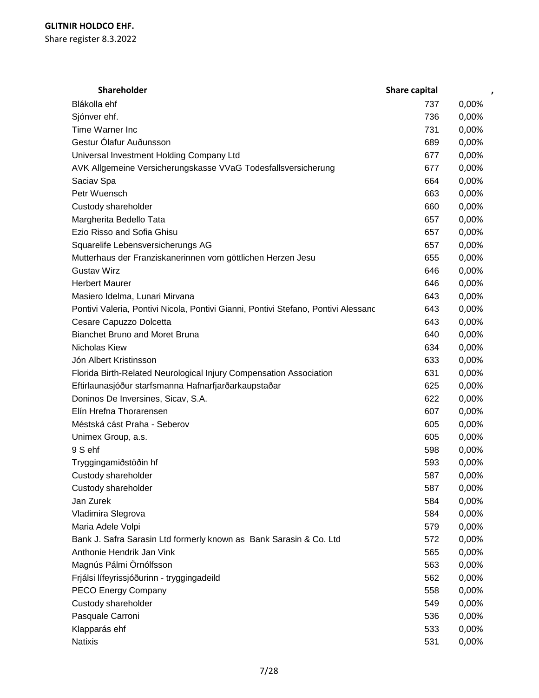| Shareholder                                                                        | <b>Share capital</b> | ,     |
|------------------------------------------------------------------------------------|----------------------|-------|
| Blákolla ehf                                                                       | 737                  | 0,00% |
| Sjónver ehf.                                                                       | 736                  | 0,00% |
| Time Warner Inc                                                                    | 731                  | 0,00% |
| Gestur Ólafur Auðunsson                                                            | 689                  | 0,00% |
| Universal Investment Holding Company Ltd                                           | 677                  | 0,00% |
| AVK Allgemeine Versicherungskasse VVaG Todesfallsversicherung                      | 677                  | 0,00% |
| Saciav Spa                                                                         | 664                  | 0,00% |
| Petr Wuensch                                                                       | 663                  | 0,00% |
| Custody shareholder                                                                | 660                  | 0,00% |
| Margherita Bedello Tata                                                            | 657                  | 0,00% |
| Ezio Risso and Sofia Ghisu                                                         | 657                  | 0,00% |
| Squarelife Lebensversicherungs AG                                                  | 657                  | 0,00% |
| Mutterhaus der Franziskanerinnen vom göttlichen Herzen Jesu                        | 655                  | 0,00% |
| <b>Gustav Wirz</b>                                                                 | 646                  | 0,00% |
| <b>Herbert Maurer</b>                                                              | 646                  | 0,00% |
| Masiero Idelma, Lunari Mirvana                                                     | 643                  | 0,00% |
| Pontivi Valeria, Pontivi Nicola, Pontivi Gianni, Pontivi Stefano, Pontivi Alessanc | 643                  | 0,00% |
| Cesare Capuzzo Dolcetta                                                            | 643                  | 0,00% |
| <b>Bianchet Bruno and Moret Bruna</b>                                              | 640                  | 0,00% |
| Nicholas Kiew                                                                      | 634                  | 0,00% |
| Jón Albert Kristinsson                                                             | 633                  | 0,00% |
| Florida Birth-Related Neurological Injury Compensation Association                 | 631                  | 0,00% |
| Eftirlaunasjóður starfsmanna Hafnarfjarðarkaupstaðar                               | 625                  | 0,00% |
| Doninos De Inversines, Sicav, S.A.                                                 | 622                  | 0,00% |
| Elín Hrefna Thorarensen                                                            | 607                  | 0,00% |
| Méstská cást Praha - Seberov                                                       | 605                  | 0,00% |
| Unimex Group, a.s.                                                                 | 605                  | 0,00% |
| 9 S ehf                                                                            | 598                  | 0,00% |
| Tryggingamiðstöðin hf                                                              | 593                  | 0,00% |
| Custody shareholder                                                                | 587                  | 0,00% |
| Custody shareholder                                                                | 587                  | 0,00% |
| Jan Zurek                                                                          | 584                  | 0,00% |
| Vladimira Slegrova                                                                 | 584                  | 0,00% |
| Maria Adele Volpi                                                                  | 579                  | 0,00% |
| Bank J. Safra Sarasin Ltd formerly known as Bank Sarasin & Co. Ltd                 | 572                  | 0,00% |
| Anthonie Hendrik Jan Vink                                                          | 565                  | 0,00% |
| Magnús Pálmi Örnólfsson                                                            | 563                  | 0,00% |
| Frjálsi lífeyrissjóðurinn - tryggingadeild                                         | 562                  | 0,00% |
| PECO Energy Company                                                                | 558                  | 0,00% |
| Custody shareholder                                                                | 549                  | 0,00% |
| Pasquale Carroni                                                                   | 536                  | 0,00% |
| Klapparás ehf                                                                      | 533                  | 0,00% |
| <b>Natixis</b>                                                                     | 531                  | 0,00% |
|                                                                                    |                      |       |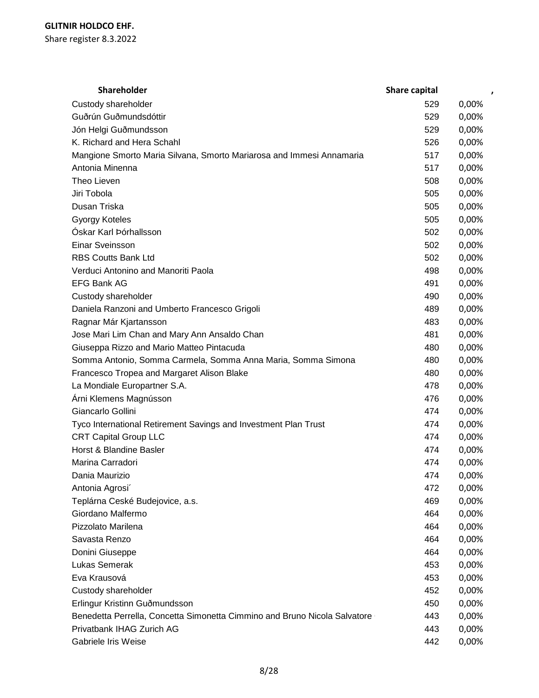| Shareholder                                                               | Share capital | $\pmb{\cdot}$ |
|---------------------------------------------------------------------------|---------------|---------------|
| Custody shareholder                                                       | 529           | 0,00%         |
| Guðrún Guðmundsdóttir                                                     | 529           | 0,00%         |
| Jón Helgi Guðmundsson                                                     | 529           | 0,00%         |
| K. Richard and Hera Schahl                                                | 526           | 0,00%         |
| Mangione Smorto Maria Silvana, Smorto Mariarosa and Immesi Annamaria      | 517           | 0,00%         |
| Antonia Minenna                                                           | 517           | 0,00%         |
| Theo Lieven                                                               | 508           | 0,00%         |
| Jiri Tobola                                                               | 505           | 0,00%         |
| Dusan Triska                                                              | 505           | 0,00%         |
| <b>Gyorgy Koteles</b>                                                     | 505           | 0,00%         |
| Óskar Karl Þórhallsson                                                    | 502           | 0,00%         |
| Einar Sveinsson                                                           | 502           | 0,00%         |
| <b>RBS Coutts Bank Ltd</b>                                                | 502           | 0,00%         |
| Verduci Antonino and Manoriti Paola                                       | 498           | 0,00%         |
| <b>EFG Bank AG</b>                                                        | 491           | 0,00%         |
| Custody shareholder                                                       | 490           | 0,00%         |
| Daniela Ranzoni and Umberto Francesco Grigoli                             | 489           | 0,00%         |
| Ragnar Már Kjartansson                                                    | 483           | 0,00%         |
| Jose Mari Lim Chan and Mary Ann Ansaldo Chan                              | 481           | 0,00%         |
| Giuseppa Rizzo and Mario Matteo Pintacuda                                 | 480           | 0,00%         |
| Somma Antonio, Somma Carmela, Somma Anna Maria, Somma Simona              | 480           | 0,00%         |
| Francesco Tropea and Margaret Alison Blake                                | 480           | 0,00%         |
| La Mondiale Europartner S.A.                                              | 478           | 0,00%         |
| Árni Klemens Magnússon                                                    | 476           | 0,00%         |
| Giancarlo Gollini                                                         | 474           | 0,00%         |
| Tyco International Retirement Savings and Investment Plan Trust           | 474           | 0,00%         |
| <b>CRT Capital Group LLC</b>                                              | 474           | 0,00%         |
| Horst & Blandine Basler                                                   | 474           | 0,00%         |
| Marina Carradori                                                          | 474           | 0,00%         |
| Dania Maurizio                                                            | 474           | 0,00%         |
| Antonia Agrosi'                                                           | 472           | 0,00%         |
| Teplárna Ceské Budejovice, a.s.                                           | 469           | 0,00%         |
| Giordano Malfermo                                                         | 464           | 0,00%         |
| Pizzolato Marilena                                                        | 464           | 0,00%         |
| Savasta Renzo                                                             | 464           | 0,00%         |
| Donini Giuseppe                                                           | 464           | 0,00%         |
| <b>Lukas Semerak</b>                                                      | 453           | 0,00%         |
| Eva Krausová                                                              | 453           | 0,00%         |
| Custody shareholder                                                       | 452           | 0,00%         |
| Erlingur Kristinn Guðmundsson                                             | 450           | 0,00%         |
| Benedetta Perrella, Concetta Simonetta Cimmino and Bruno Nicola Salvatore | 443           | 0,00%         |
| Privatbank IHAG Zurich AG                                                 | 443           | 0,00%         |
| Gabriele Iris Weise                                                       | 442           | 0,00%         |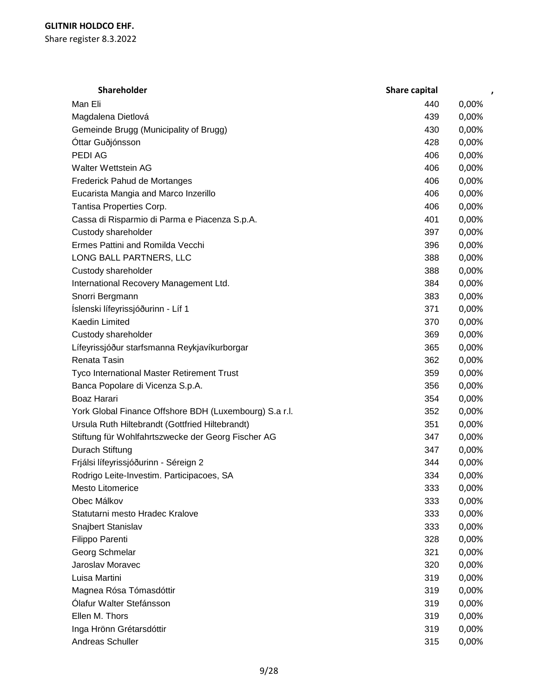| Shareholder                                            | Share capital | $\pmb{\cdot}$ |
|--------------------------------------------------------|---------------|---------------|
| Man Eli                                                | 440           | 0,00%         |
| Magdalena Dietlová                                     | 439           | 0,00%         |
| Gemeinde Brugg (Municipality of Brugg)                 | 430           | 0,00%         |
| Óttar Guðjónsson                                       | 428           | 0,00%         |
| PEDI AG                                                | 406           | 0,00%         |
| <b>Walter Wettstein AG</b>                             | 406           | 0,00%         |
| Frederick Pahud de Mortanges                           | 406           | 0,00%         |
| Eucarista Mangia and Marco Inzerillo                   | 406           | 0,00%         |
| Tantisa Properties Corp.                               | 406           | 0,00%         |
| Cassa di Risparmio di Parma e Piacenza S.p.A.          | 401           | 0,00%         |
| Custody shareholder                                    | 397           | 0,00%         |
| Ermes Pattini and Romilda Vecchi                       | 396           | 0,00%         |
| LONG BALL PARTNERS, LLC                                | 388           | 0,00%         |
| Custody shareholder                                    | 388           | 0,00%         |
| International Recovery Management Ltd.                 | 384           | 0,00%         |
| Snorri Bergmann                                        | 383           | 0,00%         |
| Íslenski lífeyrissjóðurinn - Líf 1                     | 371           | 0,00%         |
| Kaedin Limited                                         | 370           | 0,00%         |
| Custody shareholder                                    | 369           | 0,00%         |
| Lífeyrissjóður starfsmanna Reykjavíkurborgar           | 365           | 0,00%         |
| Renata Tasin                                           | 362           | 0,00%         |
| Tyco International Master Retirement Trust             | 359           | 0,00%         |
| Banca Popolare di Vicenza S.p.A.                       | 356           | 0,00%         |
| Boaz Harari                                            | 354           | 0,00%         |
| York Global Finance Offshore BDH (Luxembourg) S.a r.l. | 352           | 0,00%         |
| Ursula Ruth Hiltebrandt (Gottfried Hiltebrandt)        | 351           | 0,00%         |
| Stiftung für Wohlfahrtszwecke der Georg Fischer AG     | 347           | 0,00%         |
| Durach Stiftung                                        | 347           | 0,00%         |
| Frjálsi lífeyrissjóðurinn - Séreign 2                  | 344           | 0,00%         |
| Rodrigo Leite-Investim. Participacoes, SA              | 334           | 0,00%         |
| <b>Mesto Litomerice</b>                                | 333           | 0,00%         |
| Obec Málkov                                            | 333           | 0,00%         |
| Statutarni mesto Hradec Kralove                        | 333           | 0,00%         |
| Snajbert Stanislav                                     | 333           | 0,00%         |
| Filippo Parenti                                        | 328           | 0,00%         |
| Georg Schmelar                                         | 321           | 0,00%         |
| Jaroslav Moravec                                       | 320           | 0,00%         |
| Luisa Martini                                          | 319           | 0,00%         |
| Magnea Rósa Tómasdóttir                                | 319           | 0,00%         |
| Ólafur Walter Stefánsson                               | 319           | 0,00%         |
| Ellen M. Thors                                         | 319           | 0,00%         |
| Inga Hrönn Grétarsdóttir                               | 319           | 0,00%         |
| Andreas Schuller                                       | 315           | 0,00%         |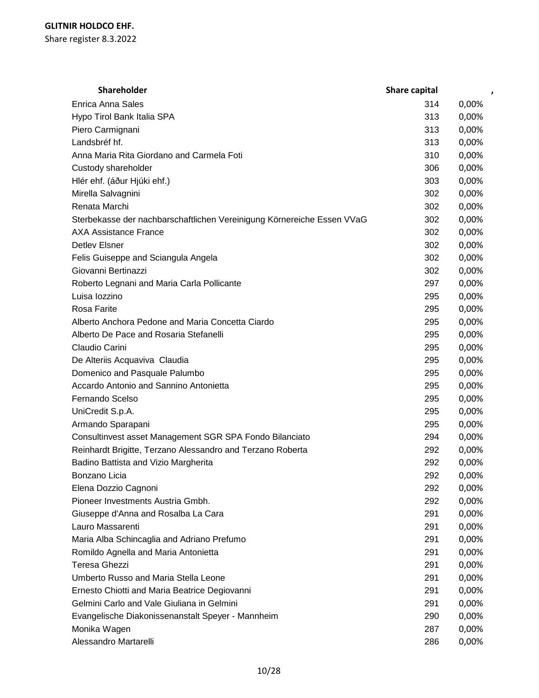| <b>Shareholder</b>                                                     | <b>Share capital</b> |       |
|------------------------------------------------------------------------|----------------------|-------|
| <b>Enrica Anna Sales</b>                                               | 314                  | 0,00% |
| Hypo Tirol Bank Italia SPA                                             | 313                  | 0,00% |
| Piero Carmignani                                                       | 313                  | 0,00% |
| Landsbréf hf.                                                          | 313                  | 0,00% |
| Anna Maria Rita Giordano and Carmela Foti                              | 310                  | 0,00% |
| Custody shareholder                                                    | 306                  | 0,00% |
| Hlér ehf. (áður Hjúki ehf.)                                            | 303                  | 0,00% |
| Mirella Salvagnini                                                     | 302                  | 0,00% |
| Renata Marchi                                                          | 302                  | 0,00% |
| Sterbekasse der nachbarschaftlichen Vereinigung Körnereiche Essen VVaG | 302                  | 0,00% |
| <b>AXA Assistance France</b>                                           | 302                  | 0,00% |
| <b>Detlev Elsner</b>                                                   | 302                  | 0,00% |
| Felis Guiseppe and Sciangula Angela                                    | 302                  | 0,00% |
| Giovanni Bertinazzi                                                    | 302                  | 0,00% |
| Roberto Legnani and Maria Carla Pollicante                             | 297                  | 0,00% |
| Luisa lozzino                                                          | 295                  | 0,00% |
| Rosa Farite                                                            | 295                  | 0,00% |
| Alberto Anchora Pedone and Maria Concetta Ciardo                       | 295                  | 0,00% |
| Alberto De Pace and Rosaria Stefanelli                                 | 295                  | 0,00% |
| Claudio Carini                                                         | 295                  | 0,00% |
| De Alteriis Acquaviva Claudia                                          | 295                  | 0,00% |
| Domenico and Pasquale Palumbo                                          | 295                  | 0,00% |
| Accardo Antonio and Sannino Antonietta                                 | 295                  | 0,00% |
| Fernando Scelso                                                        | 295                  | 0,00% |
| UniCredit S.p.A.                                                       | 295                  | 0,00% |
| Armando Sparapani                                                      | 295                  | 0,00% |
| Consultinvest asset Management SGR SPA Fondo Bilanciato                | 294                  | 0,00% |
| Reinhardt Brigitte, Terzano Alessandro and Terzano Roberta             | 292                  | 0,00% |
| Badino Battista and Vizio Margherita                                   | 292                  | 0,00% |
| Bonzano Licia                                                          | 292                  | 0,00% |
| Elena Dozzio Cagnoni                                                   | 292                  | 0,00% |
| Pioneer Investments Austria Gmbh.                                      | 292                  | 0,00% |
| Giuseppe d'Anna and Rosalba La Cara                                    | 291                  | 0,00% |
| Lauro Massarenti                                                       | 291                  | 0,00% |
| Maria Alba Schincaglia and Adriano Prefumo                             | 291                  | 0,00% |
| Romildo Agnella and Maria Antonietta                                   | 291                  | 0,00% |
| Teresa Ghezzi                                                          | 291                  | 0,00% |
| Umberto Russo and Maria Stella Leone                                   | 291                  | 0,00% |
| Ernesto Chiotti and Maria Beatrice Degiovanni                          | 291                  | 0,00% |
| Gelmini Carlo and Vale Giuliana in Gelmini                             | 291                  | 0,00% |
| Evangelische Diakonissenanstalt Speyer - Mannheim                      | 290                  | 0,00% |
| Monika Wagen                                                           | 287                  | 0,00% |
| Alessandro Martarelli                                                  | 286                  | 0,00% |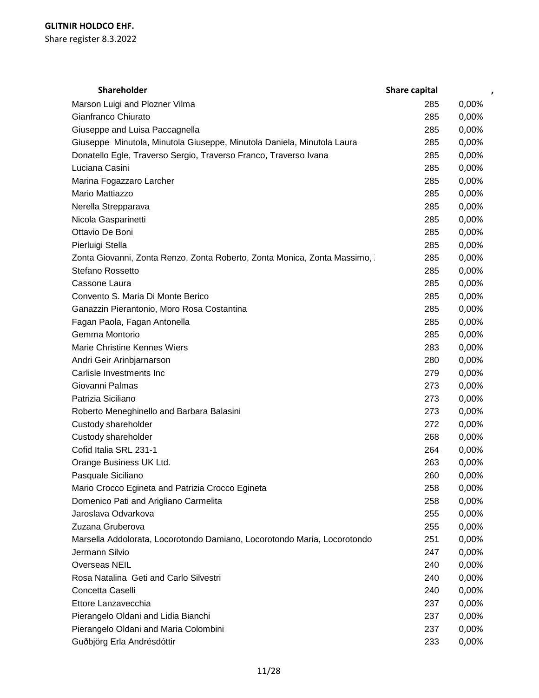| <b>Shareholder</b>                                                       | Share capital |       |
|--------------------------------------------------------------------------|---------------|-------|
| Marson Luigi and Plozner Vilma                                           | 285           | 0,00% |
| Gianfranco Chiurato                                                      | 285           | 0,00% |
| Giuseppe and Luisa Paccagnella                                           | 285           | 0,00% |
| Giuseppe Minutola, Minutola Giuseppe, Minutola Daniela, Minutola Laura   | 285           | 0,00% |
| Donatello Egle, Traverso Sergio, Traverso Franco, Traverso Ivana         | 285           | 0,00% |
| Luciana Casini                                                           | 285           | 0,00% |
| Marina Fogazzaro Larcher                                                 | 285           | 0,00% |
| Mario Mattiazzo                                                          | 285           | 0,00% |
| Nerella Strepparava                                                      | 285           | 0,00% |
| Nicola Gasparinetti                                                      | 285           | 0,00% |
| Ottavio De Boni                                                          | 285           | 0,00% |
| Pierluigi Stella                                                         | 285           | 0,00% |
| Zonta Giovanni, Zonta Renzo, Zonta Roberto, Zonta Monica, Zonta Massimo, | 285           | 0,00% |
| Stefano Rossetto                                                         | 285           | 0,00% |
| Cassone Laura                                                            | 285           | 0,00% |
| Convento S. Maria Di Monte Berico                                        | 285           | 0,00% |
| Ganazzin Pierantonio, Moro Rosa Costantina                               | 285           | 0,00% |
| Fagan Paola, Fagan Antonella                                             | 285           | 0,00% |
| Gemma Montorio                                                           | 285           | 0,00% |
| Marie Christine Kennes Wiers                                             | 283           | 0,00% |
| Andri Geir Arinbjarnarson                                                | 280           | 0,00% |
| Carlisle Investments Inc                                                 | 279           | 0,00% |
| Giovanni Palmas                                                          | 273           | 0,00% |
| Patrizia Siciliano                                                       | 273           | 0,00% |
| Roberto Meneghinello and Barbara Balasini                                | 273           | 0,00% |
| Custody shareholder                                                      | 272           | 0,00% |
| Custody shareholder                                                      | 268           | 0,00% |
| Cofid Italia SRL 231-1                                                   | 264           | 0,00% |
| Orange Business UK Ltd.                                                  | 263           | 0,00% |
| Pasquale Siciliano                                                       | 260           | 0,00% |
| Mario Crocco Egineta and Patrizia Crocco Egineta                         | 258           | 0,00% |
| Domenico Pati and Arigliano Carmelita                                    | 258           | 0,00% |
| Jaroslava Odvarkova                                                      | 255           | 0,00% |
| Zuzana Gruberova                                                         | 255           | 0,00% |
| Marsella Addolorata, Locorotondo Damiano, Locorotondo Maria, Locorotondo | 251           | 0,00% |
| Jermann Silvio                                                           | 247           | 0,00% |
| Overseas NEIL                                                            | 240           | 0,00% |
| Rosa Natalina Geti and Carlo Silvestri                                   | 240           | 0,00% |
| Concetta Caselli                                                         | 240           | 0,00% |
| Ettore Lanzavecchia                                                      | 237           | 0,00% |
| Pierangelo Oldani and Lidia Bianchi                                      | 237           | 0,00% |
| Pierangelo Oldani and Maria Colombini                                    | 237           | 0,00% |
| Guðbjörg Erla Andrésdóttir                                               | 233           | 0,00% |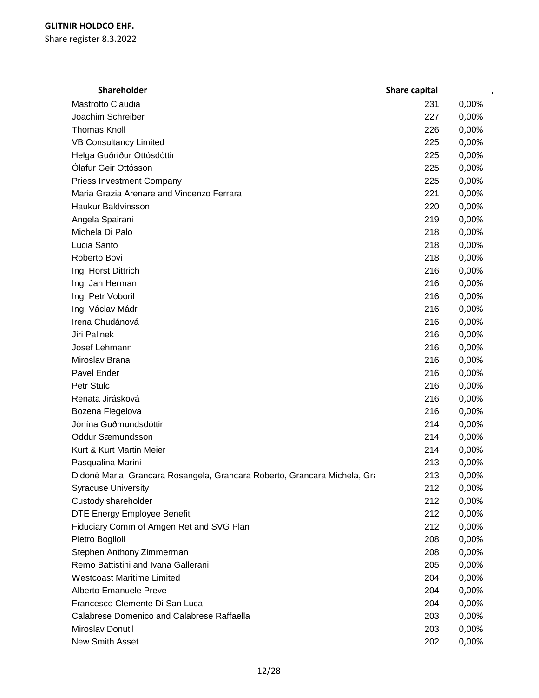| Shareholder                                                               | Share capital | ,     |
|---------------------------------------------------------------------------|---------------|-------|
| Mastrotto Claudia                                                         | 231           | 0,00% |
| Joachim Schreiber                                                         | 227           | 0,00% |
| <b>Thomas Knoll</b>                                                       | 226           | 0,00% |
| <b>VB Consultancy Limited</b>                                             | 225           | 0,00% |
| Helga Guðríður Ottósdóttir                                                | 225           | 0,00% |
| Ólafur Geir Ottósson                                                      | 225           | 0,00% |
| <b>Priess Investment Company</b>                                          | 225           | 0,00% |
| Maria Grazia Arenare and Vincenzo Ferrara                                 | 221           | 0,00% |
| <b>Haukur Baldvinsson</b>                                                 | 220           | 0,00% |
| Angela Spairani                                                           | 219           | 0,00% |
| Michela Di Palo                                                           | 218           | 0,00% |
| Lucia Santo                                                               | 218           | 0,00% |
| Roberto Bovi                                                              | 218           | 0,00% |
| Ing. Horst Dittrich                                                       | 216           | 0,00% |
| Ing. Jan Herman                                                           | 216           | 0,00% |
| Ing. Petr Voboril                                                         | 216           | 0,00% |
| Ing. Václav Mádr                                                          | 216           | 0,00% |
| Irena Chudánová                                                           | 216           | 0,00% |
| Jiri Palinek                                                              | 216           | 0,00% |
| Josef Lehmann                                                             | 216           | 0,00% |
| Miroslav Brana                                                            | 216           | 0,00% |
| Pavel Ender                                                               | 216           | 0,00% |
| Petr Stulc                                                                | 216           | 0,00% |
| Renata Jirásková                                                          | 216           | 0,00% |
| Bozena Flegelova                                                          | 216           | 0,00% |
| Jónína Guðmundsdóttir                                                     | 214           | 0,00% |
| Oddur Sæmundsson                                                          | 214           | 0,00% |
| Kurt & Kurt Martin Meier                                                  | 214           | 0,00% |
| Pasqualina Marini                                                         | 213           | 0,00% |
| Didonè Maria, Grancara Rosangela, Grancara Roberto, Grancara Michela, Gra | 213           | 0,00% |
| <b>Syracuse University</b>                                                | 212           | 0,00% |
| Custody shareholder                                                       | 212           | 0,00% |
| DTE Energy Employee Benefit                                               | 212           | 0,00% |
| Fiduciary Comm of Amgen Ret and SVG Plan                                  | 212           | 0,00% |
| Pietro Boglioli                                                           | 208           | 0,00% |
| Stephen Anthony Zimmerman                                                 | 208           | 0,00% |
| Remo Battistini and Ivana Gallerani                                       | 205           | 0,00% |
| <b>Westcoast Maritime Limited</b>                                         | 204           | 0,00% |
| Alberto Emanuele Preve                                                    | 204           | 0,00% |
| Francesco Clemente Di San Luca                                            | 204           | 0,00% |
| Calabrese Domenico and Calabrese Raffaella                                | 203           | 0,00% |
| Miroslav Donutil                                                          | 203           | 0,00% |
| New Smith Asset                                                           | 202           | 0,00% |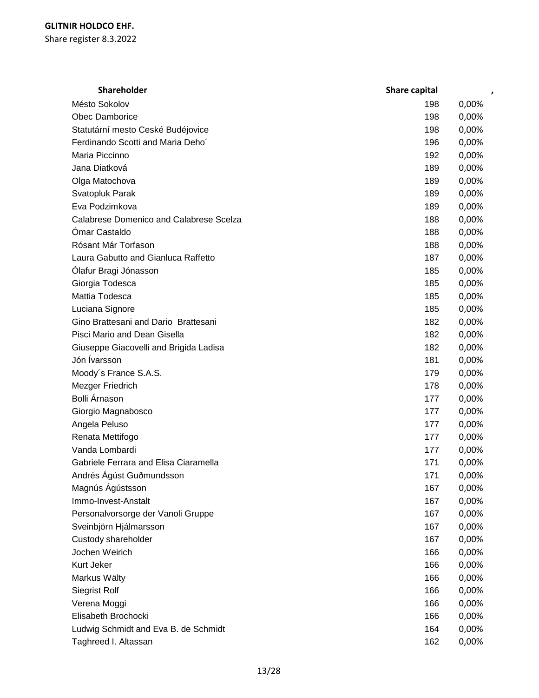| Shareholder                             | Share capital | ,     |
|-----------------------------------------|---------------|-------|
| Mésto Sokolov                           | 198           | 0,00% |
| <b>Obec Damborice</b>                   | 198           | 0,00% |
| Statutární mesto Ceské Budéjovice       | 198           | 0,00% |
| Ferdinando Scotti and Maria Deho'       | 196           | 0,00% |
| Maria Piccinno                          | 192           | 0,00% |
| Jana Diatková                           | 189           | 0,00% |
| Olga Matochova                          | 189           | 0,00% |
| Svatopluk Parak                         | 189           | 0,00% |
| Eva Podzimkova                          | 189           | 0,00% |
| Calabrese Domenico and Calabrese Scelza | 188           | 0,00% |
| Ómar Castaldo                           | 188           | 0,00% |
| Rósant Már Torfason                     | 188           | 0,00% |
| Laura Gabutto and Gianluca Raffetto     | 187           | 0,00% |
| Ólafur Bragi Jónasson                   | 185           | 0,00% |
| Giorgia Todesca                         | 185           | 0,00% |
| Mattia Todesca                          | 185           | 0,00% |
| Luciana Signore                         | 185           | 0,00% |
| Gino Brattesani and Dario Brattesani    | 182           | 0,00% |
| Pisci Mario and Dean Gisella            | 182           | 0,00% |
| Giuseppe Giacovelli and Brigida Ladisa  | 182           | 0,00% |
| Jón Ívarsson                            | 181           | 0,00% |
| Moody's France S.A.S.                   | 179           | 0,00% |
| Mezger Friedrich                        | 178           | 0,00% |
| Bolli Árnason                           | 177           | 0,00% |
| Giorgio Magnabosco                      | 177           | 0,00% |
| Angela Peluso                           | 177           | 0,00% |
| Renata Mettifogo                        | 177           | 0,00% |
| Vanda Lombardi                          | 177           | 0,00% |
| Gabriele Ferrara and Elisa Ciaramella   | 171           | 0,00% |
| Andrés Ágúst Guðmundsson                | 171           | 0,00% |
| Magnús Ágústsson                        | 167           | 0,00% |
| Immo-Invest-Anstalt                     | 167           | 0,00% |
| Personalvorsorge der Vanoli Gruppe      | 167           | 0,00% |
| Sveinbjörn Hjálmarsson                  | 167           | 0,00% |
| Custody shareholder                     | 167           | 0,00% |
| Jochen Weirich                          | 166           | 0,00% |
| Kurt Jeker                              | 166           | 0,00% |
| Markus Wälty                            | 166           | 0,00% |
| <b>Siegrist Rolf</b>                    | 166           | 0,00% |
| Verena Moggi                            | 166           | 0,00% |
| Elisabeth Brochocki                     | 166           | 0,00% |
| Ludwig Schmidt and Eva B. de Schmidt    | 164           | 0,00% |
| Taghreed I. Altassan                    | 162           | 0,00% |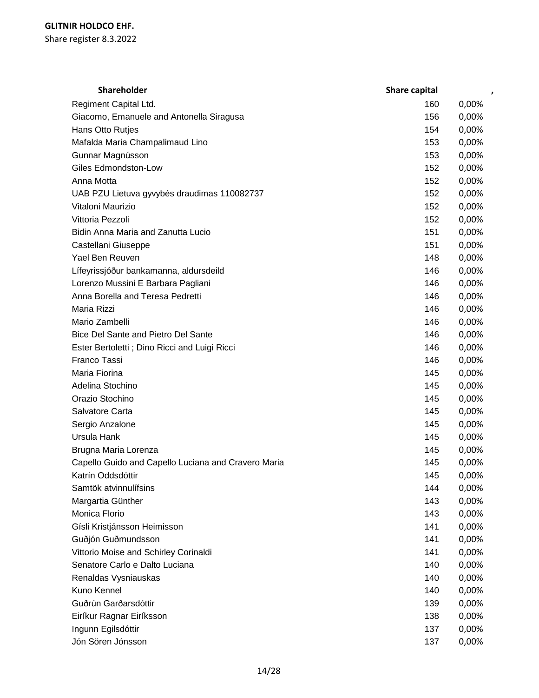| <b>Shareholder</b>                                  | <b>Share capital</b> |       |
|-----------------------------------------------------|----------------------|-------|
| Regiment Capital Ltd.                               | 160                  | 0,00% |
| Giacomo, Emanuele and Antonella Siragusa            | 156                  | 0,00% |
| Hans Otto Rutjes                                    | 154                  | 0,00% |
| Mafalda Maria Champalimaud Lino                     | 153                  | 0,00% |
| Gunnar Magnússon                                    | 153                  | 0,00% |
| <b>Giles Edmondston-Low</b>                         | 152                  | 0,00% |
| Anna Motta                                          | 152                  | 0,00% |
| UAB PZU Lietuva gyvybés draudimas 110082737         | 152                  | 0,00% |
| Vitaloni Maurizio                                   | 152                  | 0,00% |
| Vittoria Pezzoli                                    | 152                  | 0,00% |
| Bidin Anna Maria and Zanutta Lucio                  | 151                  | 0,00% |
| Castellani Giuseppe                                 | 151                  | 0,00% |
| Yael Ben Reuven                                     | 148                  | 0,00% |
| Lífeyrissjóður bankamanna, aldursdeild              | 146                  | 0,00% |
| Lorenzo Mussini E Barbara Pagliani                  | 146                  | 0,00% |
| Anna Borella and Teresa Pedretti                    | 146                  | 0,00% |
| Maria Rizzi                                         | 146                  | 0,00% |
| Mario Zambelli                                      | 146                  | 0,00% |
| Bice Del Sante and Pietro Del Sante                 | 146                  | 0,00% |
| Ester Bertoletti ; Dino Ricci and Luigi Ricci       | 146                  | 0,00% |
| Franco Tassi                                        | 146                  | 0,00% |
| Maria Fiorina                                       | 145                  | 0,00% |
| Adelina Stochino                                    | 145                  | 0,00% |
| Orazio Stochino                                     | 145                  | 0,00% |
| Salvatore Carta                                     | 145                  | 0,00% |
| Sergio Anzalone                                     | 145                  | 0,00% |
| Ursula Hank                                         | 145                  | 0,00% |
| Brugna Maria Lorenza                                | 145                  | 0,00% |
| Capello Guido and Capello Luciana and Cravero Maria | 145                  | 0,00% |
| Katrín Oddsdóttir                                   | 145                  | 0,00% |
| Samtök atvinnulífsins                               | 144                  | 0,00% |
| Margartia Günther                                   | 143                  | 0,00% |
| Monica Florio                                       | 143                  | 0,00% |
| Gísli Kristjánsson Heimisson                        | 141                  | 0,00% |
| Guðjón Guðmundsson                                  | 141                  | 0,00% |
| Vittorio Moise and Schirley Corinaldi               | 141                  | 0,00% |
| Senatore Carlo e Dalto Luciana                      | 140                  | 0,00% |
| Renaldas Vysniauskas                                | 140                  | 0,00% |
| Kuno Kennel                                         | 140                  | 0,00% |
| Guðrún Garðarsdóttir                                | 139                  | 0,00% |
| Eiríkur Ragnar Eiríksson                            | 138                  | 0,00% |
| Ingunn Egilsdóttir                                  | 137                  | 0,00% |
| Jón Sören Jónsson                                   | 137                  | 0,00% |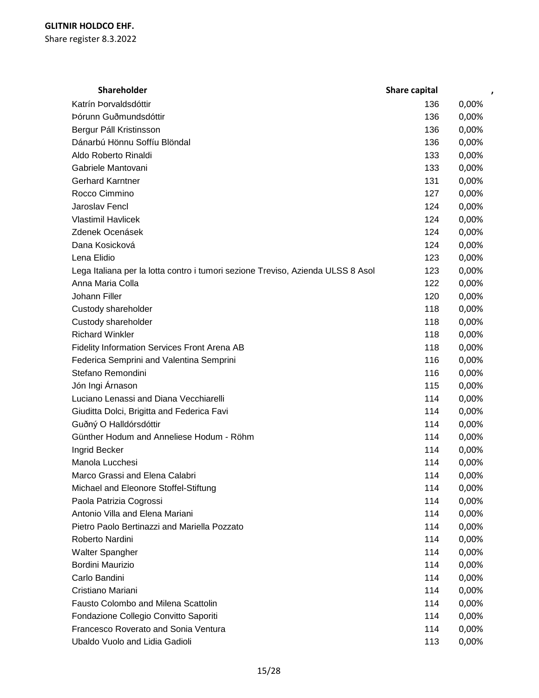| Shareholder                                                                     | <b>Share capital</b> | $\overline{ }$ |  |
|---------------------------------------------------------------------------------|----------------------|----------------|--|
| Katrín Þorvaldsdóttir                                                           | 136                  | 0,00%          |  |
| Þórunn Guðmundsdóttir                                                           | 136                  | 0,00%          |  |
| Bergur Páll Kristinsson                                                         | 136                  | 0,00%          |  |
| Dánarbú Hönnu Soffíu Blöndal                                                    | 136                  | 0,00%          |  |
| Aldo Roberto Rinaldi                                                            | 133                  | 0,00%          |  |
| Gabriele Mantovani                                                              | 133                  | 0,00%          |  |
| <b>Gerhard Karntner</b>                                                         | 131                  | 0,00%          |  |
| Rocco Cimmino                                                                   | 127                  | 0,00%          |  |
| Jaroslav Fencl                                                                  | 124                  | 0,00%          |  |
| <b>Vlastimil Havlicek</b>                                                       | 124                  | 0,00%          |  |
| Zdenek Ocenásek                                                                 | 124                  | 0,00%          |  |
| Dana Kosicková                                                                  | 124                  | 0,00%          |  |
| Lena Elidio                                                                     | 123                  | 0,00%          |  |
| Lega Italiana per la lotta contro i tumori sezione Treviso, Azienda ULSS 8 Asol | 123                  | 0,00%          |  |
| Anna Maria Colla                                                                | 122                  | 0,00%          |  |
| Johann Filler                                                                   | 120                  | 0,00%          |  |
| Custody shareholder                                                             | 118                  | 0,00%          |  |
| Custody shareholder                                                             | 118                  | 0,00%          |  |
| <b>Richard Winkler</b>                                                          | 118                  | 0,00%          |  |
| Fidelity Information Services Front Arena AB                                    | 118                  | 0,00%          |  |
| Federica Semprini and Valentina Semprini                                        | 116                  | 0,00%          |  |
| Stefano Remondini                                                               | 116                  | 0,00%          |  |
| Jón Ingi Árnason                                                                | 115                  | 0,00%          |  |
| Luciano Lenassi and Diana Vecchiarelli                                          | 114                  | 0,00%          |  |
| Giuditta Dolci, Brigitta and Federica Favi                                      | 114                  | 0,00%          |  |
| Guðný O Halldórsdóttir                                                          | 114                  | 0,00%          |  |
| Günther Hodum and Anneliese Hodum - Röhm                                        | 114                  | 0,00%          |  |
| Ingrid Becker                                                                   | 114                  | 0,00%          |  |
| Manola Lucchesi                                                                 | 114                  | 0,00%          |  |
| Marco Grassi and Elena Calabri                                                  | 114                  | 0,00%          |  |
| Michael and Eleonore Stoffel-Stiftung                                           | 114                  | 0,00%          |  |
| Paola Patrizia Cogrossi                                                         | 114                  | 0,00%          |  |
| Antonio Villa and Elena Mariani                                                 | 114                  | 0,00%          |  |
| Pietro Paolo Bertinazzi and Mariella Pozzato                                    | 114                  | 0,00%          |  |
| Roberto Nardini                                                                 | 114                  | 0,00%          |  |
| Walter Spangher                                                                 | 114                  | 0,00%          |  |
| Bordini Maurizio                                                                | 114                  | 0,00%          |  |
| Carlo Bandini                                                                   | 114                  | 0,00%          |  |
| Cristiano Mariani                                                               | 114                  | 0,00%          |  |
| Fausto Colombo and Milena Scattolin                                             | 114                  | 0,00%          |  |
| Fondazione Collegio Convitto Saporiti                                           | 114                  | 0,00%          |  |
| Francesco Roverato and Sonia Ventura                                            | 114                  | 0,00%          |  |
| Ubaldo Vuolo and Lidia Gadioli                                                  | 113                  | 0,00%          |  |
|                                                                                 |                      |                |  |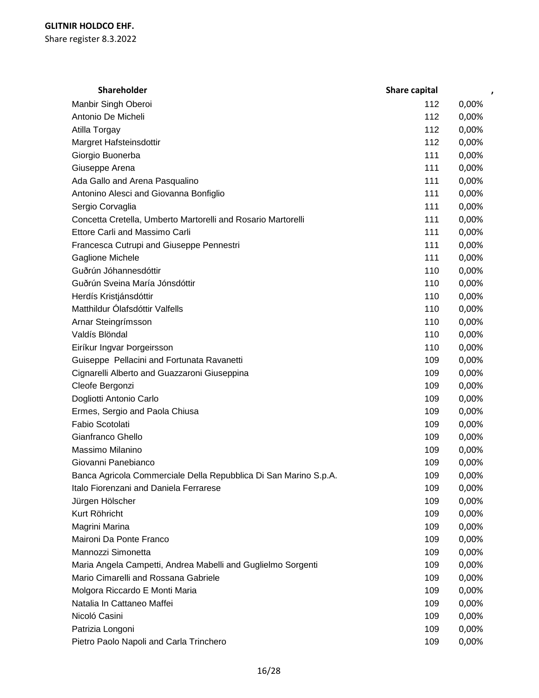| <b>Shareholder</b>                                               | <b>Share capital</b> |       |
|------------------------------------------------------------------|----------------------|-------|
| Manbir Singh Oberoi                                              | 112                  | 0,00% |
| Antonio De Micheli                                               | 112                  | 0,00% |
| Atilla Torgay                                                    | 112                  | 0,00% |
| Margret Hafsteinsdottir                                          | 112                  | 0,00% |
| Giorgio Buonerba                                                 | 111                  | 0,00% |
| Giuseppe Arena                                                   | 111                  | 0,00% |
| Ada Gallo and Arena Pasqualino                                   | 111                  | 0,00% |
| Antonino Alesci and Giovanna Bonfiglio                           | 111                  | 0,00% |
| Sergio Corvaglia                                                 | 111                  | 0,00% |
| Concetta Cretella, Umberto Martorelli and Rosario Martorelli     | 111                  | 0,00% |
| Ettore Carli and Massimo Carli                                   | 111                  | 0,00% |
| Francesca Cutrupi and Giuseppe Pennestri                         | 111                  | 0,00% |
| Gaglione Michele                                                 | 111                  | 0,00% |
| Guðrún Jóhannesdóttir                                            | 110                  | 0,00% |
| Guðrún Sveina María Jónsdóttir                                   | 110                  | 0,00% |
| Herdís Kristjánsdóttir                                           | 110                  | 0,00% |
| Matthildur Ólafsdóttir Valfells                                  | 110                  | 0,00% |
| Arnar Steingrímsson                                              | 110                  | 0,00% |
| Valdís Blöndal                                                   | 110                  | 0,00% |
| Eiríkur Ingvar Þorgeirsson                                       | 110                  | 0,00% |
| Guiseppe Pellacini and Fortunata Ravanetti                       | 109                  | 0,00% |
| Cignarelli Alberto and Guazzaroni Giuseppina                     | 109                  | 0,00% |
| Cleofe Bergonzi                                                  | 109                  | 0,00% |
| Dogliotti Antonio Carlo                                          | 109                  | 0,00% |
| Ermes, Sergio and Paola Chiusa                                   | 109                  | 0,00% |
| Fabio Scotolati                                                  | 109                  | 0,00% |
| Gianfranco Ghello                                                | 109                  | 0,00% |
| Massimo Milanino                                                 | 109                  | 0,00% |
| Giovanni Panebianco                                              | 109                  | 0,00% |
| Banca Agricola Commerciale Della Repubblica Di San Marino S.p.A. | 109                  | 0,00% |
| Italo Fiorenzani and Daniela Ferrarese                           | 109                  | 0,00% |
| Jürgen Hölscher                                                  | 109                  | 0,00% |
| Kurt Röhricht                                                    | 109                  | 0,00% |
| Magrini Marina                                                   | 109                  | 0,00% |
| Maironi Da Ponte Franco                                          | 109                  | 0,00% |
| Mannozzi Simonetta                                               | 109                  | 0,00% |
| Maria Angela Campetti, Andrea Mabelli and Guglielmo Sorgenti     | 109                  | 0,00% |
| Mario Cimarelli and Rossana Gabriele                             | 109                  | 0,00% |
| Molgora Riccardo E Monti Maria                                   | 109                  | 0,00% |
| Natalia In Cattaneo Maffei                                       | 109                  | 0,00% |
| Nicoló Casini                                                    | 109                  | 0,00% |
| Patrizia Longoni                                                 | 109                  | 0,00% |
| Pietro Paolo Napoli and Carla Trinchero                          | 109                  | 0,00% |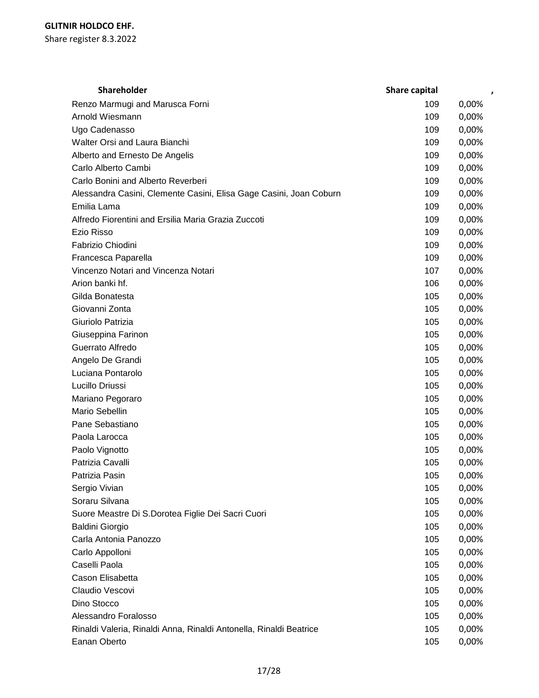| <b>Shareholder</b>                                                 | Share capital |       |
|--------------------------------------------------------------------|---------------|-------|
| Renzo Marmugi and Marusca Forni                                    | 109           | 0,00% |
| Arnold Wiesmann                                                    | 109           | 0,00% |
| Ugo Cadenasso                                                      | 109           | 0,00% |
| Walter Orsi and Laura Bianchi                                      | 109           | 0,00% |
| Alberto and Ernesto De Angelis                                     | 109           | 0,00% |
| Carlo Alberto Cambi                                                | 109           | 0,00% |
| Carlo Bonini and Alberto Reverberi                                 | 109           | 0,00% |
| Alessandra Casini, Clemente Casini, Elisa Gage Casini, Joan Coburn | 109           | 0,00% |
| Emilia Lama                                                        | 109           | 0,00% |
| Alfredo Fiorentini and Ersilia Maria Grazia Zuccoti                | 109           | 0,00% |
| Ezio Risso                                                         | 109           | 0,00% |
| Fabrizio Chiodini                                                  | 109           | 0,00% |
| Francesca Paparella                                                | 109           | 0,00% |
| Vincenzo Notari and Vincenza Notari                                | 107           | 0,00% |
| Arion banki hf.                                                    | 106           | 0,00% |
| Gilda Bonatesta                                                    | 105           | 0,00% |
| Giovanni Zonta                                                     | 105           | 0,00% |
| Giuriolo Patrizia                                                  | 105           | 0,00% |
| Giuseppina Farinon                                                 | 105           | 0,00% |
| Guerrato Alfredo                                                   | 105           | 0,00% |
| Angelo De Grandi                                                   | 105           | 0,00% |
| Luciana Pontarolo                                                  | 105           | 0,00% |
| Lucillo Driussi                                                    | 105           | 0,00% |
| Mariano Pegoraro                                                   | 105           | 0,00% |
| Mario Sebellin                                                     | 105           | 0,00% |
| Pane Sebastiano                                                    | 105           | 0,00% |
| Paola Larocca                                                      | 105           | 0,00% |
| Paolo Vignotto                                                     | 105           | 0,00% |
| Patrizia Cavalli                                                   | 105           | 0,00% |
| Patrizia Pasin                                                     | 105           | 0,00% |
| Sergio Vivian                                                      | 105           | 0,00% |
| Soraru Silvana                                                     | 105           | 0,00% |
| Suore Meastre Di S.Dorotea Figlie Dei Sacri Cuori                  | 105           | 0,00% |
| <b>Baldini Giorgio</b>                                             | 105           | 0,00% |
| Carla Antonia Panozzo                                              | 105           | 0,00% |
| Carlo Appolloni                                                    | 105           | 0,00% |
| Caselli Paola                                                      | 105           | 0,00% |
| Cason Elisabetta                                                   | 105           | 0,00% |
| Claudio Vescovi                                                    | 105           | 0,00% |
| Dino Stocco                                                        | 105           | 0,00% |
| Alessandro Foralosso                                               | 105           | 0,00% |
| Rinaldi Valeria, Rinaldi Anna, Rinaldi Antonella, Rinaldi Beatrice | 105           | 0,00% |
| Eanan Oberto                                                       | 105           | 0,00% |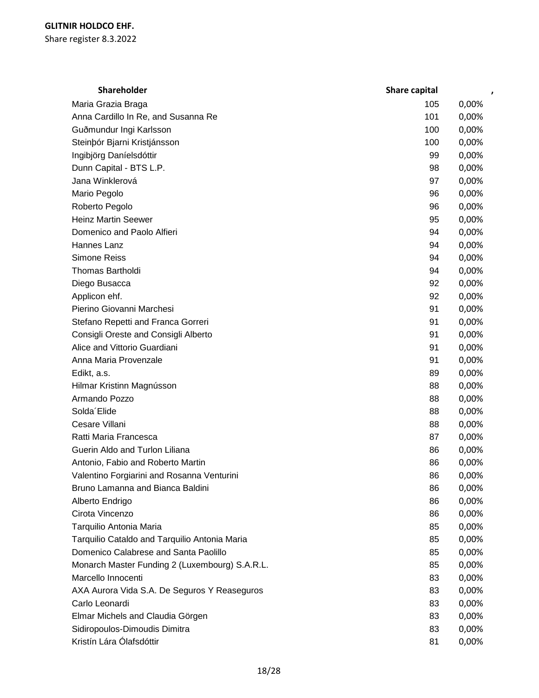| <b>Shareholder</b>                             | Share capital | ,     |
|------------------------------------------------|---------------|-------|
| Maria Grazia Braga                             | 105           | 0,00% |
| Anna Cardillo In Re, and Susanna Re            | 101           | 0,00% |
| Guðmundur Ingi Karlsson                        | 100           | 0,00% |
| Steinbór Bjarni Kristjánsson                   | 100           | 0,00% |
| Ingibjörg Daníelsdóttir                        | 99            | 0,00% |
| Dunn Capital - BTS L.P.                        | 98            | 0,00% |
| Jana Winklerová                                | 97            | 0,00% |
| Mario Pegolo                                   | 96            | 0,00% |
| Roberto Pegolo                                 | 96            | 0,00% |
| <b>Heinz Martin Seewer</b>                     | 95            | 0,00% |
| Domenico and Paolo Alfieri                     | 94            | 0,00% |
| Hannes Lanz                                    | 94            | 0,00% |
| <b>Simone Reiss</b>                            | 94            | 0,00% |
| Thomas Bartholdi                               | 94            | 0,00% |
| Diego Busacca                                  | 92            | 0,00% |
| Applicon ehf.                                  | 92            | 0,00% |
| Pierino Giovanni Marchesi                      | 91            | 0,00% |
| Stefano Repetti and Franca Gorreri             | 91            | 0,00% |
| Consigli Oreste and Consigli Alberto           | 91            | 0,00% |
| Alice and Vittorio Guardiani                   | 91            | 0,00% |
| Anna Maria Provenzale                          | 91            | 0,00% |
| Edikt, a.s.                                    | 89            | 0,00% |
| Hilmar Kristinn Magnússon                      | 88            | 0,00% |
| Armando Pozzo                                  | 88            | 0,00% |
| Solda Elide                                    | 88            | 0,00% |
| Cesare Villani                                 | 88            | 0,00% |
| Ratti Maria Francesca                          | 87            | 0,00% |
| Guerin Aldo and Turlon Liliana                 | 86            | 0,00% |
| Antonio, Fabio and Roberto Martin              | 86            | 0,00% |
| Valentino Forgiarini and Rosanna Venturini     | 86            | 0,00% |
| Bruno Lamanna and Bianca Baldini               | 86            | 0,00% |
| Alberto Endrigo                                | 86            | 0,00% |
| Cirota Vincenzo                                | 86            | 0,00% |
| Tarquilio Antonia Maria                        | 85            | 0,00% |
| Tarquilio Cataldo and Tarquilio Antonia Maria  | 85            | 0,00% |
| Domenico Calabrese and Santa Paolillo          | 85            | 0,00% |
| Monarch Master Funding 2 (Luxembourg) S.A.R.L. | 85            | 0,00% |
| Marcello Innocenti                             | 83            | 0,00% |
| AXA Aurora Vida S.A. De Seguros Y Reaseguros   | 83            | 0,00% |
| Carlo Leonardi                                 | 83            | 0,00% |
| Elmar Michels and Claudia Görgen               | 83            | 0,00% |
| Sidiropoulos-Dimoudis Dimitra                  | 83            | 0,00% |
| Kristín Lára Ólafsdóttir                       | 81            | 0,00% |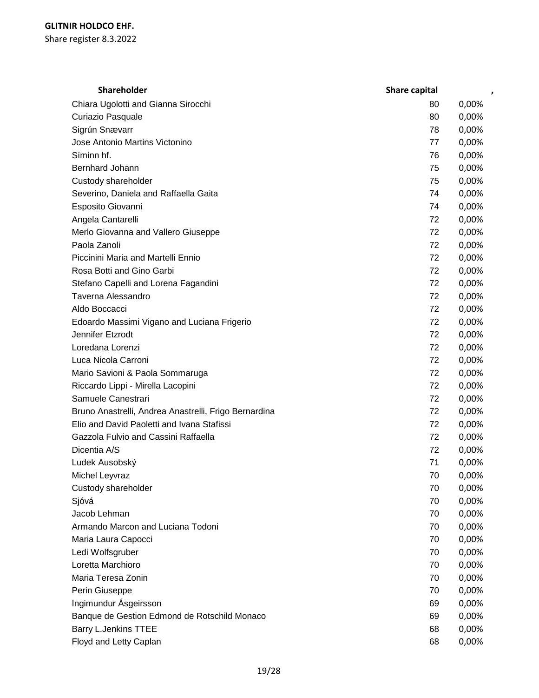| <b>Shareholder</b>                                    | Share capital | $\pmb{\cdot}$ |
|-------------------------------------------------------|---------------|---------------|
| Chiara Ugolotti and Gianna Sirocchi                   | 80            | 0,00%         |
| Curiazio Pasquale                                     | 80            | 0,00%         |
| Sigrún Snævarr                                        | 78            | 0,00%         |
| Jose Antonio Martins Victonino                        | 77            | 0,00%         |
| Síminn hf.                                            | 76            | 0,00%         |
| Bernhard Johann                                       | 75            | 0,00%         |
| Custody shareholder                                   | 75            | 0,00%         |
| Severino, Daniela and Raffaella Gaita                 | 74            | 0,00%         |
| Esposito Giovanni                                     | 74            | 0,00%         |
| Angela Cantarelli                                     | 72            | 0,00%         |
| Merlo Giovanna and Vallero Giuseppe                   | 72            | 0,00%         |
| Paola Zanoli                                          | 72            | 0,00%         |
| Piccinini Maria and Martelli Ennio                    | 72            | 0,00%         |
| Rosa Botti and Gino Garbi                             | 72            | 0,00%         |
| Stefano Capelli and Lorena Fagandini                  | 72            | 0,00%         |
| Taverna Alessandro                                    | 72            | 0,00%         |
| Aldo Boccacci                                         | 72            | 0,00%         |
| Edoardo Massimi Vigano and Luciana Frigerio           | 72            | 0,00%         |
| Jennifer Etzrodt                                      | 72            | 0,00%         |
| Loredana Lorenzi                                      | 72            | 0,00%         |
| Luca Nicola Carroni                                   | 72            | 0,00%         |
| Mario Savioni & Paola Sommaruga                       | 72            | 0,00%         |
| Riccardo Lippi - Mirella Lacopini                     | 72            | 0,00%         |
| Samuele Canestrari                                    | 72            | 0,00%         |
| Bruno Anastrelli, Andrea Anastrelli, Frigo Bernardina | 72            | 0,00%         |
| Elio and David Paoletti and Ivana Stafissi            | 72            | 0,00%         |
| Gazzola Fulvio and Cassini Raffaella                  | 72            | 0,00%         |
| Dicentia A/S                                          | 72            | 0,00%         |
| Ludek Ausobský                                        | 71            | 0,00%         |
| Michel Leyvraz                                        | 70            | 0,00%         |
| Custody shareholder                                   | 70            | 0,00%         |
| Sjóvá                                                 | 70            | 0,00%         |
| Jacob Lehman                                          | 70            | 0,00%         |
| Armando Marcon and Luciana Todoni                     | 70            | 0,00%         |
| Maria Laura Capocci                                   | 70            | 0,00%         |
| Ledi Wolfsgruber                                      | 70            | 0,00%         |
| Loretta Marchioro                                     | 70            | 0,00%         |
| Maria Teresa Zonin                                    | 70            | 0,00%         |
| Perin Giuseppe                                        | 70            | 0,00%         |
| Ingimundur Ásgeirsson                                 | 69            | 0,00%         |
| Banque de Gestion Edmond de Rotschild Monaco          | 69            | 0,00%         |
| <b>Barry L.Jenkins TTEE</b>                           | 68            | 0,00%         |
| Floyd and Letty Caplan                                | 68            | 0,00%         |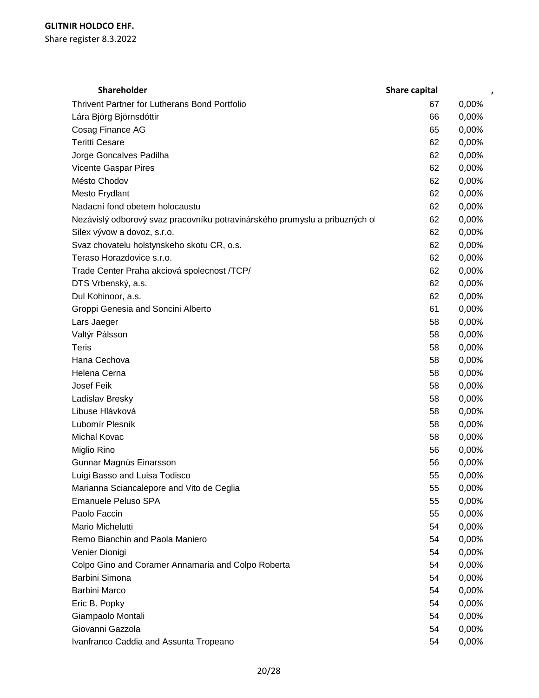| Shareholder                                                                | Share capital | ,     |
|----------------------------------------------------------------------------|---------------|-------|
| Thrivent Partner for Lutherans Bond Portfolio                              | 67            | 0,00% |
| Lára Björg Björnsdóttir                                                    | 66            | 0,00% |
| Cosag Finance AG                                                           | 65            | 0,00% |
| <b>Teritti Cesare</b>                                                      | 62            | 0,00% |
| Jorge Goncalves Padilha                                                    | 62            | 0,00% |
| Vicente Gaspar Pires                                                       | 62            | 0,00% |
| Mésto Chodov                                                               | 62            | 0,00% |
| Mesto Frydlant                                                             | 62            | 0,00% |
| Nadacní fond obetem holocaustu                                             | 62            | 0,00% |
| Nezávislý odborový svaz pracovníku potravinárského prumyslu a pribuzných o | 62            | 0,00% |
| Silex vývow a dovoz, s.r.o.                                                | 62            | 0,00% |
| Svaz chovatelu holstynskeho skotu CR, o.s.                                 | 62            | 0,00% |
| Teraso Horazdovice s.r.o.                                                  | 62            | 0,00% |
| Trade Center Praha akciová spolecnost /TCP/                                | 62            | 0,00% |
| DTS Vrbenský, a.s.                                                         | 62            | 0,00% |
| Dul Kohinoor, a.s.                                                         | 62            | 0,00% |
| Groppi Genesia and Soncini Alberto                                         | 61            | 0,00% |
| Lars Jaeger                                                                | 58            | 0,00% |
| Valtýr Pálsson                                                             | 58            | 0,00% |
| <b>Teris</b>                                                               | 58            | 0,00% |
| Hana Cechova                                                               | 58            | 0,00% |
| Helena Cerna                                                               | 58            | 0,00% |
| Josef Feik                                                                 | 58            | 0,00% |
| Ladislav Bresky                                                            | 58            | 0,00% |
| Libuse Hlávková                                                            | 58            | 0,00% |
| Lubomír Plesník                                                            | 58            | 0,00% |
| Michal Kovac                                                               | 58            | 0,00% |
| Miglio Rino                                                                | 56            | 0,00% |
| Gunnar Magnús Einarsson                                                    | 56            | 0,00% |
| Luigi Basso and Luisa Todisco                                              | 55            | 0,00% |
| Marianna Sciancalepore and Vito de Ceglia                                  | 55            | 0,00% |
| Emanuele Peluso SPA                                                        | 55            | 0,00% |
| Paolo Faccin                                                               | 55            | 0,00% |
| Mario Michelutti                                                           | 54            | 0,00% |
| Remo Bianchin and Paola Maniero                                            | 54            | 0,00% |
| Venier Dionigi                                                             | 54            | 0,00% |
| Colpo Gino and Coramer Annamaria and Colpo Roberta                         | 54            | 0,00% |
| Barbini Simona                                                             | 54            | 0,00% |
| Barbini Marco                                                              | 54            | 0,00% |
| Eric B. Popky                                                              | 54            | 0,00% |
| Giampaolo Montali                                                          | 54            | 0,00% |
| Giovanni Gazzola                                                           | 54            | 0,00% |
| Ivanfranco Caddia and Assunta Tropeano                                     | 54            | 0,00% |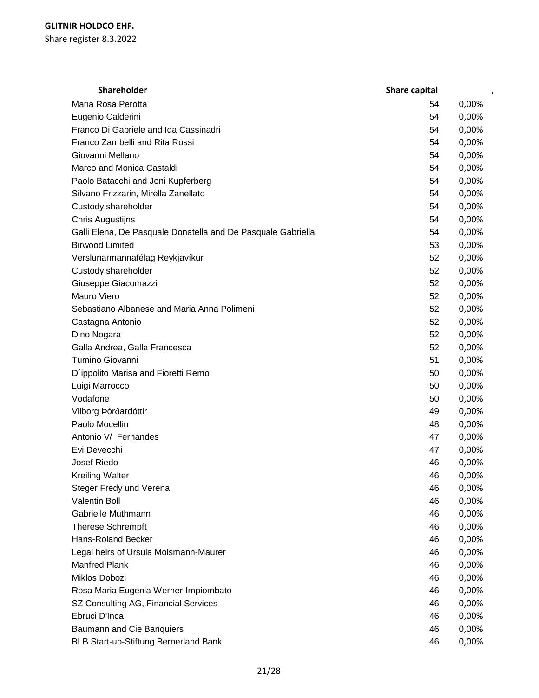| <b>Shareholder</b>                                           | Share capital | $\pmb{\cdot}$ |
|--------------------------------------------------------------|---------------|---------------|
| Maria Rosa Perotta                                           | 54            | 0,00%         |
| Eugenio Calderini                                            | 54            | 0,00%         |
| Franco Di Gabriele and Ida Cassinadri                        | 54            | 0,00%         |
| Franco Zambelli and Rita Rossi                               | 54            | 0,00%         |
| Giovanni Mellano                                             | 54            | 0,00%         |
| Marco and Monica Castaldi                                    | 54            | 0,00%         |
| Paolo Batacchi and Joni Kupferberg                           | 54            | 0,00%         |
| Silvano Frizzarin, Mirella Zanellato                         | 54            | 0,00%         |
| Custody shareholder                                          | 54            | 0,00%         |
| Chris Augustijns                                             | 54            | 0,00%         |
| Galli Elena, De Pasquale Donatella and De Pasquale Gabriella | 54            | 0,00%         |
| <b>Birwood Limited</b>                                       | 53            | 0,00%         |
| Verslunarmannafélag Reykjavíkur                              | 52            | 0,00%         |
| Custody shareholder                                          | 52            | 0,00%         |
| Giuseppe Giacomazzi                                          | 52            | 0,00%         |
| Mauro Viero                                                  | 52            | 0,00%         |
| Sebastiano Albanese and Maria Anna Polimeni                  | 52            | 0,00%         |
| Castagna Antonio                                             | 52            | 0,00%         |
| Dino Nogara                                                  | 52            | 0,00%         |
| Galla Andrea, Galla Francesca                                | 52            | 0,00%         |
| Tumino Giovanni                                              | 51            | 0,00%         |
| D'ippolito Marisa and Fioretti Remo                          | 50            | 0,00%         |
| Luigi Marrocco                                               | 50            | 0,00%         |
| Vodafone                                                     | 50            | 0,00%         |
| Vilborg Þórðardóttir                                         | 49            | 0,00%         |
| Paolo Mocellin                                               | 48            | 0,00%         |
| Antonio V/ Fernandes                                         | 47            | 0,00%         |
| Evi Devecchi                                                 | 47            | 0,00%         |
| <b>Josef Riedo</b>                                           | 46            | 0,00%         |
| <b>Kreiling Walter</b>                                       | 46            | 0,00%         |
| Steger Fredy und Verena                                      | 46            | 0,00%         |
| <b>Valentin Boll</b>                                         | 46            | 0,00%         |
| Gabrielle Muthmann                                           | 46            | 0,00%         |
| <b>Therese Schrempft</b>                                     | 46            | 0,00%         |
| <b>Hans-Roland Becker</b>                                    | 46            | 0,00%         |
| Legal heirs of Ursula Moismann-Maurer                        | 46            | 0,00%         |
| <b>Manfred Plank</b>                                         | 46            | 0,00%         |
| Miklos Dobozi                                                | 46            | 0,00%         |
| Rosa Maria Eugenia Werner-Impiombato                         | 46            | 0,00%         |
| SZ Consulting AG, Financial Services                         | 46            | 0,00%         |
| Ebruci D'Inca                                                | 46            | 0,00%         |
| Baumann and Cie Banquiers                                    | 46            | 0,00%         |
| <b>BLB Start-up-Stiftung Bernerland Bank</b>                 | 46            | 0,00%         |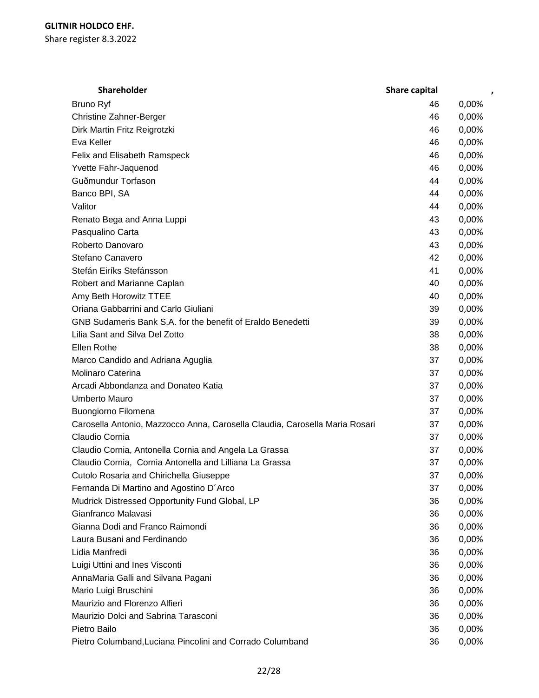| Shareholder                                                                 | Share capital |       |
|-----------------------------------------------------------------------------|---------------|-------|
| <b>Bruno Ryf</b>                                                            | 46            | 0,00% |
| <b>Christine Zahner-Berger</b>                                              | 46            | 0,00% |
| Dirk Martin Fritz Reigrotzki                                                | 46            | 0,00% |
| Eva Keller                                                                  | 46            | 0,00% |
| Felix and Elisabeth Ramspeck                                                | 46            | 0,00% |
| Yvette Fahr-Jaquenod                                                        | 46            | 0,00% |
| Guðmundur Torfason                                                          | 44            | 0,00% |
| Banco BPI, SA                                                               | 44            | 0,00% |
| Valitor                                                                     | 44            | 0,00% |
| Renato Bega and Anna Luppi                                                  | 43            | 0,00% |
| Pasqualino Carta                                                            | 43            | 0,00% |
| Roberto Danovaro                                                            | 43            | 0,00% |
| Stefano Canavero                                                            | 42            | 0,00% |
| Stefán Eiríks Stefánsson                                                    | 41            | 0,00% |
| Robert and Marianne Caplan                                                  | 40            | 0,00% |
| Amy Beth Horowitz TTEE                                                      | 40            | 0,00% |
| Oriana Gabbarrini and Carlo Giuliani                                        | 39            | 0,00% |
| GNB Sudameris Bank S.A. for the benefit of Eraldo Benedetti                 | 39            | 0,00% |
| Lilia Sant and Silva Del Zotto                                              | 38            | 0,00% |
| Ellen Rothe                                                                 | 38            | 0,00% |
| Marco Candido and Adriana Aguglia                                           | 37            | 0,00% |
| Molinaro Caterina                                                           | 37            | 0,00% |
| Arcadi Abbondanza and Donateo Katia                                         | 37            | 0,00% |
| <b>Umberto Mauro</b>                                                        | 37            | 0,00% |
| Buongiorno Filomena                                                         | 37            | 0,00% |
| Carosella Antonio, Mazzocco Anna, Carosella Claudia, Carosella Maria Rosari | 37            | 0,00% |
| Claudio Cornia                                                              | 37            | 0,00% |
| Claudio Cornia, Antonella Cornia and Angela La Grassa                       | 37            | 0,00% |
| Claudio Cornia, Cornia Antonella and Lilliana La Grassa                     | 37            | 0,00% |
| Cutolo Rosaria and Chirichella Giuseppe                                     | 37            | 0,00% |
| Fernanda Di Martino and Agostino D'Arco                                     | 37            | 0,00% |
| Mudrick Distressed Opportunity Fund Global, LP                              | 36            | 0,00% |
| Gianfranco Malavasi                                                         | 36            | 0,00% |
| Gianna Dodi and Franco Raimondi                                             | 36            | 0,00% |
| Laura Busani and Ferdinando                                                 | 36            | 0,00% |
| Lidia Manfredi                                                              | 36            | 0,00% |
| Luigi Uttini and Ines Visconti                                              | 36            | 0,00% |
| AnnaMaria Galli and Silvana Pagani                                          | 36            | 0,00% |
| Mario Luigi Bruschini                                                       | 36            | 0,00% |
| Maurizio and Florenzo Alfieri                                               | 36            | 0,00% |
| Maurizio Dolci and Sabrina Tarasconi                                        | 36            | 0,00% |
| Pietro Bailo                                                                | 36            | 0,00% |
| Pietro Columband, Luciana Pincolini and Corrado Columband                   | 36            | 0,00% |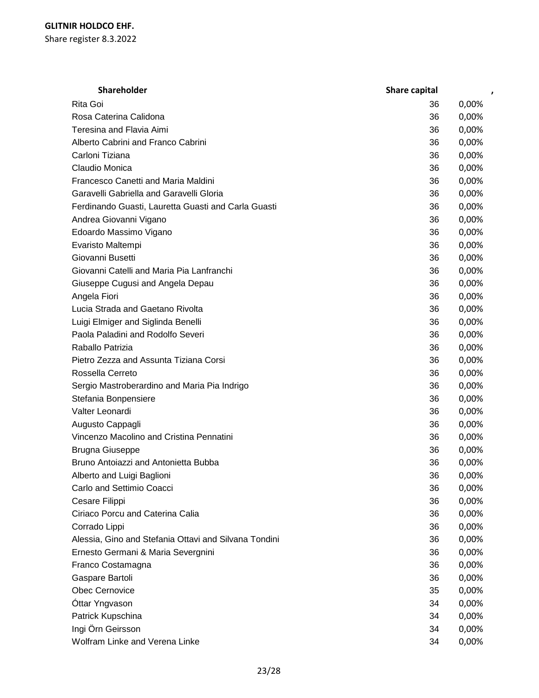| <b>Shareholder</b>                                    | Share capital |       |
|-------------------------------------------------------|---------------|-------|
| Rita Goi                                              | 36            | 0,00% |
| Rosa Caterina Calidona                                | 36            | 0,00% |
| Teresina and Flavia Aimi                              | 36            | 0,00% |
| Alberto Cabrini and Franco Cabrini                    | 36            | 0,00% |
| Carloni Tiziana                                       | 36            | 0,00% |
| Claudio Monica                                        | 36            | 0,00% |
| Francesco Canetti and Maria Maldini                   | 36            | 0,00% |
| Garavelli Gabriella and Garavelli Gloria              | 36            | 0,00% |
| Ferdinando Guasti, Lauretta Guasti and Carla Guasti   | 36            | 0,00% |
| Andrea Giovanni Vigano                                | 36            | 0,00% |
| Edoardo Massimo Vigano                                | 36            | 0,00% |
| Evaristo Maltempi                                     | 36            | 0,00% |
| Giovanni Busetti                                      | 36            | 0,00% |
| Giovanni Catelli and Maria Pia Lanfranchi             | 36            | 0,00% |
| Giuseppe Cugusi and Angela Depau                      | 36            | 0,00% |
| Angela Fiori                                          | 36            | 0,00% |
| Lucia Strada and Gaetano Rivolta                      | 36            | 0,00% |
| Luigi Elmiger and Siglinda Benelli                    | 36            | 0,00% |
| Paola Paladini and Rodolfo Severi                     | 36            | 0,00% |
| Raballo Patrizia                                      | 36            | 0,00% |
| Pietro Zezza and Assunta Tiziana Corsi                | 36            | 0,00% |
| Rossella Cerreto                                      | 36            | 0,00% |
| Sergio Mastroberardino and Maria Pia Indrigo          | 36            | 0,00% |
| Stefania Bonpensiere                                  | 36            | 0,00% |
| Valter Leonardi                                       | 36            | 0,00% |
| Augusto Cappagli                                      | 36            | 0,00% |
| Vincenzo Macolino and Cristina Pennatini              | 36            | 0,00% |
| <b>Brugna Giuseppe</b>                                | 36            | 0,00% |
| Bruno Antoiazzi and Antonietta Bubba                  | 36            | 0,00% |
| Alberto and Luigi Baglioni                            | 36            | 0,00% |
| Carlo and Settimio Coacci                             | 36            | 0,00% |
| Cesare Filippi                                        | 36            | 0,00% |
| Ciriaco Porcu and Caterina Calia                      | 36            | 0,00% |
| Corrado Lippi                                         | 36            | 0,00% |
| Alessia, Gino and Stefania Ottavi and Silvana Tondini | 36            | 0,00% |
| Ernesto Germani & Maria Severgnini                    | 36            | 0,00% |
| Franco Costamagna                                     | 36            | 0,00% |
| Gaspare Bartoli                                       | 36            | 0,00% |
| Obec Cernovice                                        | 35            | 0,00% |
| Óttar Yngvason                                        | 34            | 0,00% |
| Patrick Kupschina                                     | 34            | 0,00% |
| Ingi Örn Geirsson                                     | 34            | 0,00% |
| Wolfram Linke and Verena Linke                        | 34            | 0,00% |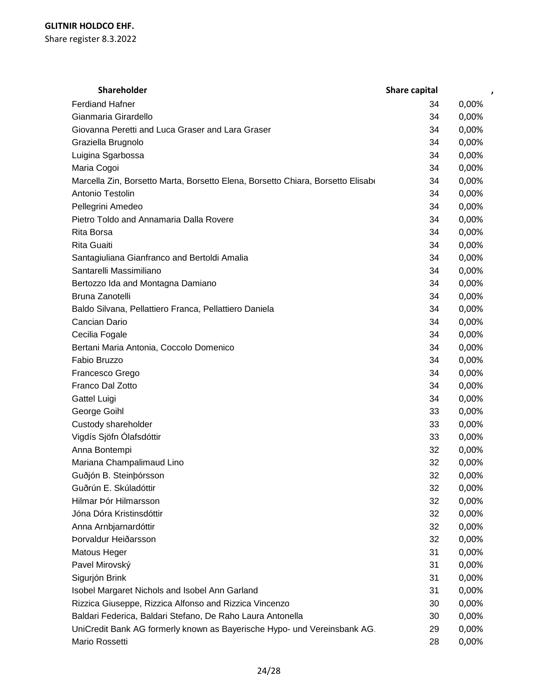| Shareholder                                                                     | Share capital | $\pmb{\cdot}$ |
|---------------------------------------------------------------------------------|---------------|---------------|
| <b>Ferdiand Hafner</b>                                                          | 34            | 0,00%         |
| Gianmaria Girardello                                                            | 34            | 0,00%         |
| Giovanna Peretti and Luca Graser and Lara Graser                                | 34            | 0,00%         |
| Graziella Brugnolo                                                              | 34            | 0,00%         |
| Luigina Sgarbossa                                                               | 34            | 0,00%         |
| Maria Cogoi                                                                     | 34            | 0,00%         |
| Marcella Zin, Borsetto Marta, Borsetto Elena, Borsetto Chiara, Borsetto Elisabe | 34            | 0,00%         |
| Antonio Testolin                                                                | 34            | 0,00%         |
| Pellegrini Amedeo                                                               | 34            | 0,00%         |
| Pietro Toldo and Annamaria Dalla Rovere                                         | 34            | 0,00%         |
| Rita Borsa                                                                      | 34            | 0,00%         |
| Rita Guaiti                                                                     | 34            | 0,00%         |
| Santagiuliana Gianfranco and Bertoldi Amalia                                    | 34            | 0,00%         |
| Santarelli Massimiliano                                                         | 34            | 0,00%         |
| Bertozzo Ida and Montagna Damiano                                               | 34            | 0,00%         |
| Bruna Zanotelli                                                                 | 34            | 0,00%         |
| Baldo Silvana, Pellattiero Franca, Pellattiero Daniela                          | 34            | 0,00%         |
| Cancian Dario                                                                   | 34            | 0,00%         |
| Cecilia Fogale                                                                  | 34            | 0,00%         |
| Bertani Maria Antonia, Coccolo Domenico                                         | 34            | 0,00%         |
| Fabio Bruzzo                                                                    | 34            | 0,00%         |
| Francesco Grego                                                                 | 34            | 0,00%         |
| Franco Dal Zotto                                                                | 34            | 0,00%         |
| Gattel Luigi                                                                    | 34            | 0,00%         |
| George Goihl                                                                    | 33            | 0,00%         |
| Custody shareholder                                                             | 33            | 0,00%         |
| Vigdís Sjöfn Ólafsdóttir                                                        | 33            | 0,00%         |
| Anna Bontempi                                                                   | 32            | 0,00%         |
| Mariana Champalimaud Lino                                                       | 32            | 0,00%         |
| Guðjón B. Steinbórsson                                                          | 32            | 0,00%         |
| Guðrún E. Skúladóttir                                                           | 32            | 0,00%         |
| Hilmar Þór Hilmarsson                                                           | 32            | 0,00%         |
| Jóna Dóra Kristinsdóttir                                                        | 32            | 0,00%         |
| Anna Arnbjarnardóttir                                                           | 32            | 0,00%         |
| Þorvaldur Heiðarsson                                                            | 32            | 0,00%         |
| Matous Heger                                                                    | 31            | 0,00%         |
| Pavel Mirovský                                                                  | 31            | 0,00%         |
| Sigurjón Brink                                                                  | 31            | 0,00%         |
| Isobel Margaret Nichols and Isobel Ann Garland                                  | 31            | 0,00%         |
| Rizzica Giuseppe, Rizzica Alfonso and Rizzica Vincenzo                          | 30            | 0,00%         |
| Baldari Federica, Baldari Stefano, De Raho Laura Antonella                      | 30            | 0,00%         |
| UniCredit Bank AG formerly known as Bayerische Hypo- und Vereinsbank AG.        | 29            | 0,00%         |
| Mario Rossetti                                                                  | 28            | 0,00%         |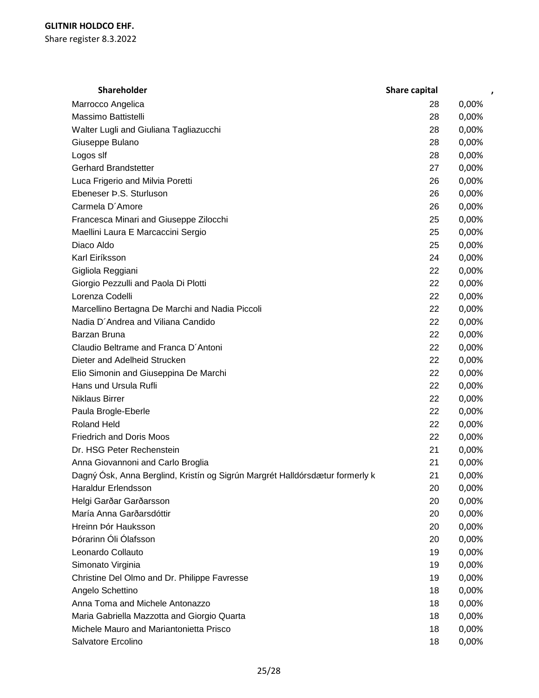| Shareholder                                                                  | Share capital | ,     |
|------------------------------------------------------------------------------|---------------|-------|
| Marrocco Angelica                                                            | 28            | 0,00% |
| Massimo Battistelli                                                          | 28            | 0,00% |
| Walter Lugli and Giuliana Tagliazucchi                                       | 28            | 0,00% |
| Giuseppe Bulano                                                              | 28            | 0,00% |
| Logos slf                                                                    | 28            | 0,00% |
| <b>Gerhard Brandstetter</b>                                                  | 27            | 0,00% |
| Luca Frigerio and Milvia Poretti                                             | 26            | 0,00% |
| Ebeneser Þ.S. Sturluson                                                      | 26            | 0,00% |
| Carmela D'Amore                                                              | 26            | 0,00% |
| Francesca Minari and Giuseppe Zilocchi                                       | 25            | 0,00% |
| Maellini Laura E Marcaccini Sergio                                           | 25            | 0,00% |
| Diaco Aldo                                                                   | 25            | 0,00% |
| Karl Eiríksson                                                               | 24            | 0,00% |
| Gigliola Reggiani                                                            | 22            | 0,00% |
| Giorgio Pezzulli and Paola Di Plotti                                         | 22            | 0,00% |
| Lorenza Codelli                                                              | 22            | 0,00% |
| Marcellino Bertagna De Marchi and Nadia Piccoli                              | 22            | 0,00% |
| Nadia D'Andrea and Viliana Candido                                           | 22            | 0,00% |
| Barzan Bruna                                                                 | 22            | 0,00% |
| Claudio Beltrame and Franca D'Antoni                                         | 22            | 0,00% |
| Dieter and Adelheid Strucken                                                 | 22            | 0,00% |
| Elio Simonin and Giuseppina De Marchi                                        | 22            | 0,00% |
| Hans und Ursula Rufli                                                        | 22            | 0,00% |
| <b>Niklaus Birrer</b>                                                        | 22            | 0,00% |
| Paula Brogle-Eberle                                                          | 22            | 0,00% |
| <b>Roland Held</b>                                                           | 22            | 0,00% |
| <b>Friedrich and Doris Moos</b>                                              | 22            | 0,00% |
| Dr. HSG Peter Rechenstein                                                    | 21            | 0,00% |
| Anna Giovannoni and Carlo Broglia                                            | 21            | 0,00% |
| Dagný Ósk, Anna Berglind, Kristín og Sigrún Margrét Halldórsdætur formerly k | 21            | 0,00% |
| Haraldur Erlendsson                                                          | 20            | 0,00% |
| Helgi Garðar Garðarsson                                                      | 20            | 0,00% |
| María Anna Garðarsdóttir                                                     | 20            | 0,00% |
| Hreinn Þór Hauksson                                                          | 20            | 0,00% |
| Þórarinn Óli Ólafsson                                                        | 20            | 0,00% |
| Leonardo Collauto                                                            | 19            | 0,00% |
| Simonato Virginia                                                            | 19            | 0,00% |
| Christine Del Olmo and Dr. Philippe Favresse                                 | 19            | 0,00% |
| Angelo Schettino                                                             | 18            | 0,00% |
| Anna Toma and Michele Antonazzo                                              | 18            | 0,00% |
| Maria Gabriella Mazzotta and Giorgio Quarta                                  | 18            | 0,00% |
| Michele Mauro and Mariantonietta Prisco                                      | 18            | 0,00% |
| Salvatore Ercolino                                                           | 18            | 0,00% |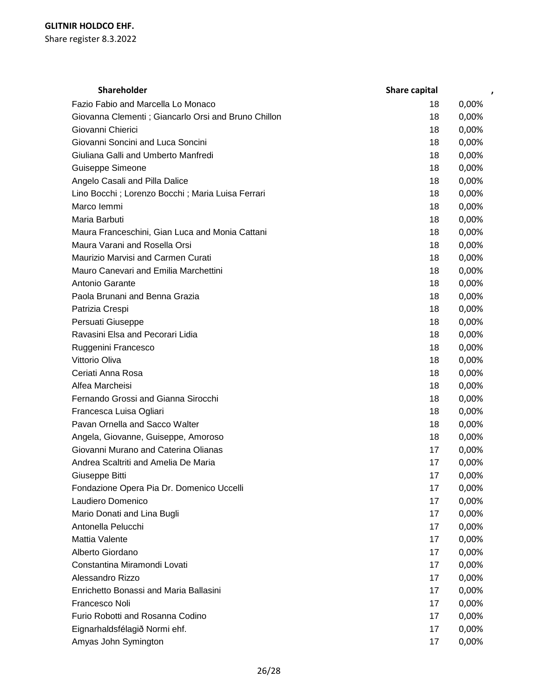| <b>Shareholder</b>                                   | Share capital |       |
|------------------------------------------------------|---------------|-------|
| Fazio Fabio and Marcella Lo Monaco                   | 18            | 0,00% |
| Giovanna Clementi ; Giancarlo Orsi and Bruno Chillon | 18            | 0,00% |
| Giovanni Chierici                                    | 18            | 0,00% |
| Giovanni Soncini and Luca Soncini                    | 18            | 0,00% |
| Giuliana Galli and Umberto Manfredi                  | 18            | 0,00% |
| Guiseppe Simeone                                     | 18            | 0,00% |
| Angelo Casali and Pilla Dalice                       | 18            | 0,00% |
| Lino Bocchi ; Lorenzo Bocchi ; Maria Luisa Ferrari   | 18            | 0,00% |
| Marco lemmi                                          | 18            | 0,00% |
| Maria Barbuti                                        | 18            | 0,00% |
| Maura Franceschini, Gian Luca and Monia Cattani      | 18            | 0,00% |
| Maura Varani and Rosella Orsi                        | 18            | 0,00% |
| Maurizio Marvisi and Carmen Curati                   | 18            | 0,00% |
| Mauro Canevari and Emilia Marchettini                | 18            | 0,00% |
| Antonio Garante                                      | 18            | 0,00% |
| Paola Brunani and Benna Grazia                       | 18            | 0,00% |
| Patrizia Crespi                                      | 18            | 0,00% |
| Persuati Giuseppe                                    | 18            | 0,00% |
| Ravasini Elsa and Pecorari Lidia                     | 18            | 0,00% |
| Ruggenini Francesco                                  | 18            | 0,00% |
| Vittorio Oliva                                       | 18            | 0,00% |
| Ceriati Anna Rosa                                    | 18            | 0,00% |
| Alfea Marcheisi                                      | 18            | 0,00% |
| Fernando Grossi and Gianna Sirocchi                  | 18            | 0,00% |
| Francesca Luisa Ogliari                              | 18            | 0,00% |
| Pavan Ornella and Sacco Walter                       | 18            | 0,00% |
| Angela, Giovanne, Guiseppe, Amoroso                  | 18            | 0,00% |
| Giovanni Murano and Caterina Olianas                 | 17            | 0,00% |
| Andrea Scaltriti and Amelia De Maria                 | 17            | 0,00% |
| Giuseppe Bitti                                       | 17            | 0,00% |
| Fondazione Opera Pia Dr. Domenico Uccelli            | 17            | 0,00% |
| Laudiero Domenico                                    | 17            | 0,00% |
| Mario Donati and Lina Bugli                          | 17            | 0,00% |
| Antonella Pelucchi                                   | 17            | 0,00% |
| Mattia Valente                                       | 17            | 0,00% |
| Alberto Giordano                                     | 17            | 0,00% |
| Constantina Miramondi Lovati                         | 17            | 0,00% |
| Alessandro Rizzo                                     | 17            | 0,00% |
| Enrichetto Bonassi and Maria Ballasini               | 17            | 0,00% |
| Francesco Noli                                       | 17            | 0,00% |
| Furio Robotti and Rosanna Codino                     | 17            | 0,00% |
| Eignarhaldsfélagið Normi ehf.                        | 17            | 0,00% |
| Amyas John Symington                                 | 17            | 0,00% |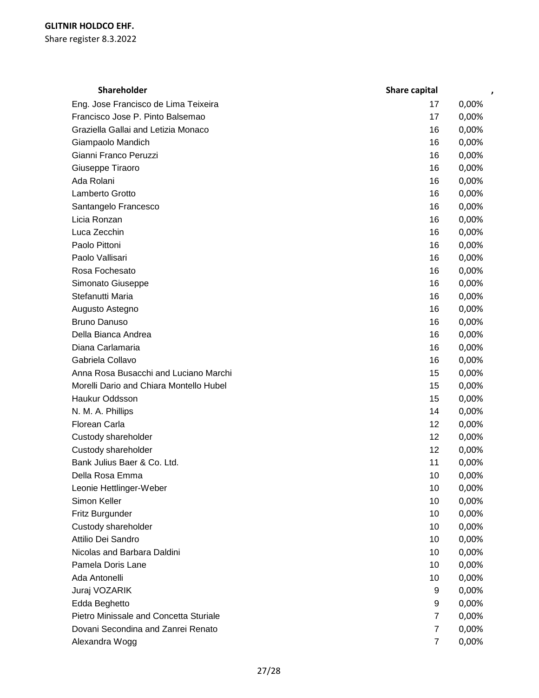| Shareholder                             | Share capital  | ,     |
|-----------------------------------------|----------------|-------|
| Eng. Jose Francisco de Lima Teixeira    | 17             | 0,00% |
| Francisco Jose P. Pinto Balsemao        | 17             | 0,00% |
| Graziella Gallai and Letizia Monaco     | 16             | 0,00% |
| Giampaolo Mandich                       | 16             | 0,00% |
| Gianni Franco Peruzzi                   | 16             | 0,00% |
| Giuseppe Tiraoro                        | 16             | 0,00% |
| Ada Rolani                              | 16             | 0,00% |
| Lamberto Grotto                         | 16             | 0,00% |
| Santangelo Francesco                    | 16             | 0,00% |
| Licia Ronzan                            | 16             | 0,00% |
| Luca Zecchin                            | 16             | 0,00% |
| Paolo Pittoni                           | 16             | 0,00% |
| Paolo Vallisari                         | 16             | 0,00% |
| Rosa Fochesato                          | 16             | 0,00% |
| Simonato Giuseppe                       | 16             | 0,00% |
| Stefanutti Maria                        | 16             | 0,00% |
| Augusto Astegno                         | 16             | 0,00% |
| <b>Bruno Danuso</b>                     | 16             | 0,00% |
| Della Bianca Andrea                     | 16             | 0,00% |
| Diana Carlamaria                        | 16             | 0,00% |
| Gabriela Collavo                        | 16             | 0,00% |
| Anna Rosa Busacchi and Luciano Marchi   | 15             | 0,00% |
| Morelli Dario and Chiara Montello Hubel | 15             | 0,00% |
| <b>Haukur Oddsson</b>                   | 15             | 0,00% |
| N. M. A. Phillips                       | 14             | 0,00% |
| Florean Carla                           | 12             | 0,00% |
| Custody shareholder                     | 12             | 0,00% |
| Custody shareholder                     | 12             | 0,00% |
| Bank Julius Baer & Co. Ltd.             | 11             | 0,00% |
| Della Rosa Emma                         | 10             | 0,00% |
| Leonie Hettlinger-Weber                 | 10             | 0,00% |
| Simon Keller                            | 10             | 0,00% |
| Fritz Burgunder                         | 10             | 0,00% |
| Custody shareholder                     | 10             | 0,00% |
| Attilio Dei Sandro                      | 10             | 0,00% |
| Nicolas and Barbara Daldini             | 10             | 0,00% |
| Pamela Doris Lane                       | 10             | 0,00% |
| Ada Antonelli                           | 10             | 0,00% |
| Juraj VOZARIK                           | 9              | 0,00% |
| Edda Beghetto                           | 9              | 0,00% |
| Pietro Minissale and Concetta Sturiale  | $\overline{7}$ | 0,00% |
| Dovani Secondina and Zanrei Renato      | $\overline{7}$ | 0,00% |
| Alexandra Wogg                          | $\overline{7}$ | 0,00% |
|                                         |                |       |